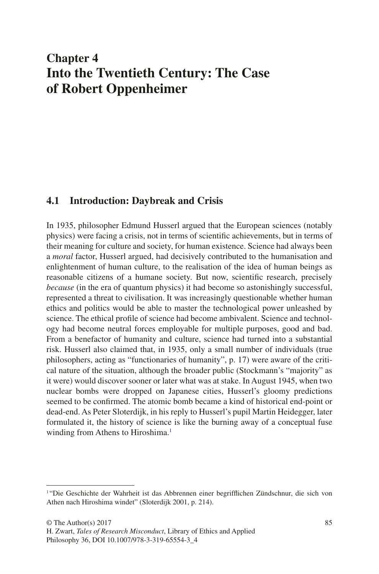# **Chapter 4 Into the Twentieth Century: The Case of Robert Oppenheimer**

# **4.1 Introduction: Daybreak and Crisis**

In 1935, philosopher Edmund Husserl argued that the European sciences (notably physics) were facing a crisis, not in terms of scientific achievements, but in terms of their meaning for culture and society, for human existence. Science had always been a *moral* factor, Husserl argued, had decisively contributed to the humanisation and enlightenment of human culture, to the realisation of the idea of human beings as reasonable citizens of a humane society. But now, scientific research, precisely *because* (in the era of quantum physics) it had become so astonishingly successful, represented a threat to civilisation. It was increasingly questionable whether human ethics and politics would be able to master the technological power unleashed by science. The ethical profile of science had become ambivalent. Science and technology had become neutral forces employable for multiple purposes, good and bad. From a benefactor of humanity and culture, science had turned into a substantial risk. Husserl also claimed that, in 1935, only a small number of individuals (true philosophers, acting as "functionaries of humanity", p. 17) were aware of the critical nature of the situation, although the broader public (Stockmann's "majority" as it were) would discover sooner or later what was at stake. In August 1945, when two nuclear bombs were dropped on Japanese cities, Husserl's gloomy predictions seemed to be confirmed. The atomic bomb became a kind of historical end-point or dead-end. As Peter Sloterdijk, in his reply to Husserl's pupil Martin Heidegger, later formulated it, the history of science is like the burning away of a conceptual fuse winding from Athens to Hiroshima.<sup>1</sup>

<span id="page-0-0"></span><sup>1</sup> "Die Geschichte der Wahrheit ist das Abbrennen einer begrifflichen Zündschnur, die sich von Athen nach Hiroshima windet" (Sloterdijk 2001, p. 214).

H. Zwart, *Tales of Research Misconduct*, Library of Ethics and Applied Philosophy 36, DOI 10.1007/978-3-319-65554-3\_4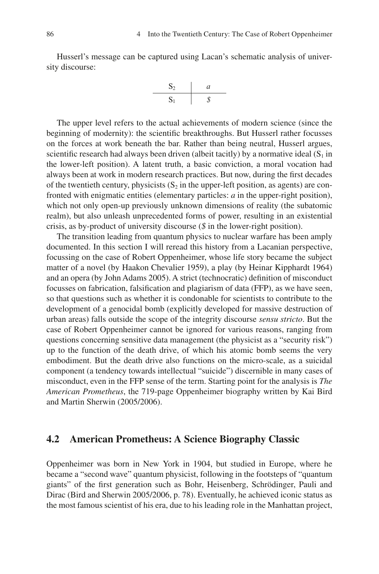Husserl's message can be captured using Lacan's schematic analysis of university discourse:



The upper level refers to the actual achievements of modern science (since the beginning of modernity): the scientific breakthroughs. But Husserl rather focusses on the forces at work beneath the bar. Rather than being neutral, Husserl argues, scientific research had always been driven (albeit tacitly) by a normative ideal  $(S_1$  in the lower-left position). A latent truth, a basic conviction, a moral vocation had always been at work in modern research practices. But now, during the first decades of the twentieth century, physicists  $(S_2$  in the upper-left position, as agents) are confronted with enigmatic entities (elementary particles: *a* in the upper-right position), which not only open-up previously unknown dimensions of reality (the subatomic realm), but also unleash unprecedented forms of power, resulting in an existential crisis, as by-product of university discourse (*\$* in the lower-right position).

The transition leading from quantum physics to nuclear warfare has been amply documented. In this section I will reread this history from a Lacanian perspective, focussing on the case of Robert Oppenheimer, whose life story became the subject matter of a novel (by Haakon Chevalier 1959), a play (by Heinar Kipphardt 1964) and an opera (by John Adams 2005). A strict (technocratic) definition of misconduct focusses on fabrication, falsification and plagiarism of data (FFP), as we have seen, so that questions such as whether it is condonable for scientists to contribute to the development of a genocidal bomb (explicitly developed for massive destruction of urban areas) falls outside the scope of the integrity discourse *sensu stricto*. But the case of Robert Oppenheimer cannot be ignored for various reasons, ranging from questions concerning sensitive data management (the physicist as a "security risk") up to the function of the death drive, of which his atomic bomb seems the very embodiment. But the death drive also functions on the micro-scale, as a suicidal component (a tendency towards intellectual "suicide") discernible in many cases of misconduct, even in the FFP sense of the term. Starting point for the analysis is *The American Prometheus*, the 719-page Oppenheimer biography written by Kai Bird and Martin Sherwin (2005/2006).

## **4.2 American Prometheus: A Science Biography Classic**

Oppenheimer was born in New York in 1904, but studied in Europe, where he became a "second wave" quantum physicist, following in the footsteps of "quantum giants" of the first generation such as Bohr, Heisenberg, Schrödinger, Pauli and Dirac (Bird and Sherwin 2005/2006, p. 78). Eventually, he achieved iconic status as the most famous scientist of his era, due to his leading role in the Manhattan project,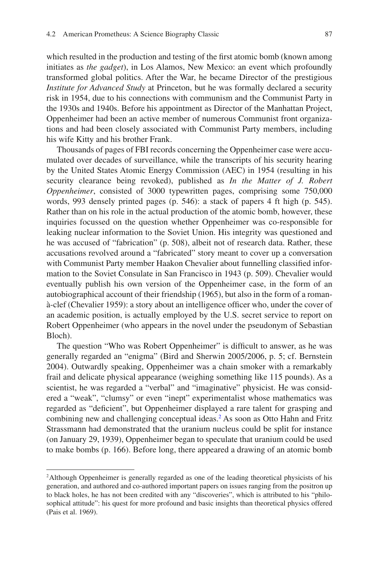which resulted in the production and testing of the first atomic bomb (known among initiates as *the gadget*), in Los Alamos, New Mexico: an event which profoundly transformed global politics. After the War, he became Director of the prestigious *Institute for Advanced Study* at Princeton, but he was formally declared a security risk in 1954, due to his connections with communism and the Communist Party in the 1930s and 1940s. Before his appointment as Director of the Manhattan Project, Oppenheimer had been an active member of numerous Communist front organizations and had been closely associated with Communist Party members, including his wife Kitty and his brother Frank.

Thousands of pages of FBI records concerning the Oppenheimer case were accumulated over decades of surveillance, while the transcripts of his security hearing by the United States Atomic Energy Commission (AEC) in 1954 (resulting in his security clearance being revoked), published as *In the Matter of J. Robert Oppenheimer*, consisted of 3000 typewritten pages, comprising some 750,000 words, 993 densely printed pages (p. 546): a stack of papers 4 ft high (p. 545). Rather than on his role in the actual production of the atomic bomb, however, these inquiries focussed on the question whether Oppenheimer was co-responsible for leaking nuclear information to the Soviet Union. His integrity was questioned and he was accused of "fabrication" (p. 508), albeit not of research data. Rather, these accusations revolved around a "fabricated" story meant to cover up a conversation with Communist Party member Haakon Chevalier about funnelling classified information to the Soviet Consulate in San Francisco in 1943 (p. 509). Chevalier would eventually publish his own version of the Oppenheimer case, in the form of an autobiographical account of their friendship (1965), but also in the form of a romanà-clef (Chevalier 1959): a story about an intelligence officer who, under the cover of an academic position, is actually employed by the U.S. secret service to report on Robert Oppenheimer (who appears in the novel under the pseudonym of Sebastian Bloch).

The question "Who was Robert Oppenheimer" is difficult to answer, as he was generally regarded an "enigma" (Bird and Sherwin 2005/2006, p. 5; cf. Bernstein 2004). Outwardly speaking, Oppenheimer was a chain smoker with a remarkably frail and delicate physical appearance (weighing something like 115 pounds). As a scientist, he was regarded a "verbal" and "imaginative" physicist. He was considered a "weak", "clumsy" or even "inept" experimentalist whose mathematics was regarded as "deficient", but Oppenheimer displayed a rare talent for grasping and combining new and challenging conceptual ideas.<sup>[2](#page-2-0)</sup> As soon as Otto Hahn and Fritz Strassmann had demonstrated that the uranium nucleus could be split for instance (on January 29, 1939), Oppenheimer began to speculate that uranium could be used to make bombs (p. 166). Before long, there appeared a drawing of an atomic bomb

<span id="page-2-0"></span><sup>&</sup>lt;sup>2</sup>Although Oppenheimer is generally regarded as one of the leading theoretical physicists of his generation, and authored and co-authored important papers on issues ranging from the positron up to black holes, he has not been credited with any "discoveries", which is attributed to his "philosophical attitude": his quest for more profound and basic insights than theoretical physics offered (Pais et al. 1969).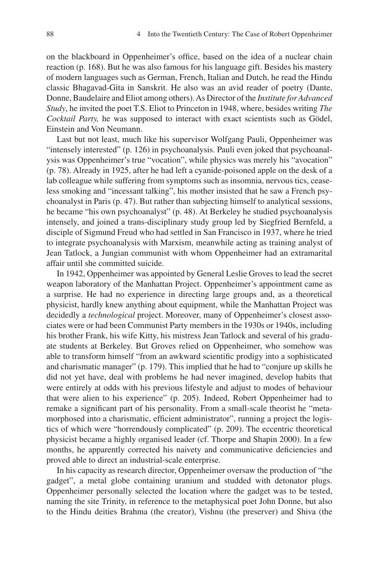on the blackboard in Oppenheimer's office, based on the idea of a nuclear chain reaction (p. 168). But he was also famous for his language gift. Besides his mastery of modern languages such as German, French, Italian and Dutch, he read the Hindu classic Bhagavad-Gita in Sanskrit. He also was an avid reader of poetry (Dante, Donne, Baudelaire and Eliot among others). As Director of the *Institute for Advanced Study*, he invited the poet T.S. Eliot to Princeton in 1948, where, besides writing *The Cocktail Party,* he was supposed to interact with exact scientists such as Gödel, Einstein and Von Neumann.

Last but not least, much like his supervisor Wolfgang Pauli, Oppenheimer was "intensely interested" (p. 126) in psychoanalysis. Pauli even joked that psychoanalysis was Oppenheimer's true "vocation", while physics was merely his "avocation" (p. 78). Already in 1925, after he had left a cyanide-poisoned apple on the desk of a lab colleague while suffering from symptoms such as insomnia, nervous tics, ceaseless smoking and "incessant talking", his mother insisted that he saw a French psychoanalyst in Paris (p. 47). But rather than subjecting himself to analytical sessions, he became "his own psychoanalyst" (p. 48). At Berkeley he studied psychoanalysis intensely, and joined a trans-disciplinary study group led by Siegfried Bernfeld, a disciple of Sigmund Freud who had settled in San Francisco in 1937, where he tried to integrate psychoanalysis with Marxism, meanwhile acting as training analyst of Jean Tatlock, a Jungian communist with whom Oppenheimer had an extramarital affair until she committed suicide.

In 1942, Oppenheimer was appointed by General Leslie Groves to lead the secret weapon laboratory of the Manhattan Project. Oppenheimer's appointment came as a surprise. He had no experience in directing large groups and, as a theoretical physicist, hardly knew anything about equipment, while the Manhattan Project was decidedly a *technological* project. Moreover, many of Oppenheimer's closest associates were or had been Communist Party members in the 1930s or 1940s, including his brother Frank, his wife Kitty, his mistress Jean Tatlock and several of his graduate students at Berkeley. But Groves relied on Oppenheimer, who somehow was able to transform himself "from an awkward scientific prodigy into a sophisticated and charismatic manager" (p. 179). This implied that he had to "conjure up skills he did not yet have, deal with problems he had never imagined, develop habits that were entirely at odds with his previous lifestyle and adjust to modes of behaviour that were alien to his experience" (p. 205). Indeed, Robert Oppenheimer had to remake a significant part of his personality. From a small-scale theorist he "metamorphosed into a charismatic, efficient administrator", running a project the logistics of which were "horrendously complicated" (p. 209). The eccentric theoretical physicist became a highly organised leader (cf. Thorpe and Shapin 2000). In a few months, he apparently corrected his naivety and communicative deficiencies and proved able to direct an industrial-scale enterprise.

In his capacity as research director, Oppenheimer oversaw the production of "the gadget", a metal globe containing uranium and studded with detonator plugs. Oppenheimer personally selected the location where the gadget was to be tested, naming the site Trinity, in reference to the metaphysical poet John Donne, but also to the Hindu deities Brahma (the creator), Vishnu (the preserver) and Shiva (the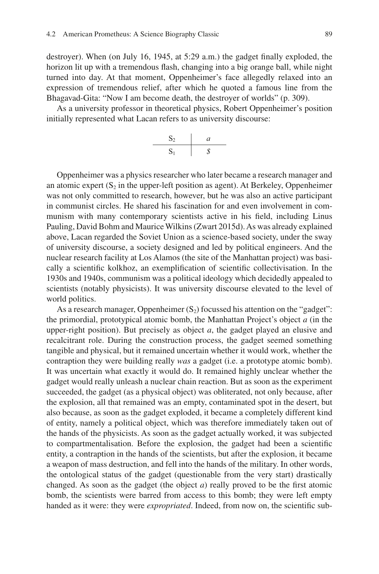destroyer). When (on July 16, 1945, at 5:29 a.m.) the gadget finally exploded, the horizon lit up with a tremendous flash, changing into a big orange ball, while night turned into day. At that moment, Oppenheimer's face allegedly relaxed into an expression of tremendous relief, after which he quoted a famous line from the Bhagavad-Gita: "Now I am become death, the destroyer of worlds" (p. 309).

As a university professor in theoretical physics, Robert Oppenheimer's position initially represented what Lacan refers to as university discourse:



Oppenheimer was a physics researcher who later became a research manager and an atomic expert  $(S_2$  in the upper-left position as agent). At Berkeley, Oppenheimer was not only committed to research, however, but he was also an active participant in communist circles. He shared his fascination for and even involvement in communism with many contemporary scientists active in his field, including Linus Pauling, David Bohm and Maurice Wilkins (Zwart 2015d). As was already explained above, Lacan regarded the Soviet Union as a science-based society, under the sway of university discourse, a society designed and led by political engineers. And the nuclear research facility at Los Alamos (the site of the Manhattan project) was basically a scientific kolkhoz, an exemplification of scientific collectivisation. In the 1930s and 1940s, communism was a political ideology which decidedly appealed to scientists (notably physicists). It was university discourse elevated to the level of world politics.

As a research manager, Oppenheimer  $(S_2)$  focussed his attention on the "gadget": the primordial, prototypical atomic bomb, the Manhattan Project's object *a* (in the upper-right position). But precisely as object *a*, the gadget played an elusive and recalcitrant role. During the construction process, the gadget seemed something tangible and physical, but it remained uncertain whether it would work, whether the contraption they were building really *was* a gadget (i.e. a prototype atomic bomb). It was uncertain what exactly it would do. It remained highly unclear whether the gadget would really unleash a nuclear chain reaction. But as soon as the experiment succeeded, the gadget (as a physical object) was obliterated, not only because, after the explosion, all that remained was an empty, contaminated spot in the desert, but also because, as soon as the gadget exploded, it became a completely different kind of entity, namely a political object, which was therefore immediately taken out of the hands of the physicists. As soon as the gadget actually worked, it was subjected to compartmentalisation. Before the explosion, the gadget had been a scientific entity, a contraption in the hands of the scientists, but after the explosion, it became a weapon of mass destruction, and fell into the hands of the military. In other words, the ontological status of the gadget (questionable from the very start) drastically changed. As soon as the gadget (the object *a*) really proved to be the first atomic bomb, the scientists were barred from access to this bomb; they were left empty handed as it were: they were *expropriated*. Indeed, from now on, the scientific sub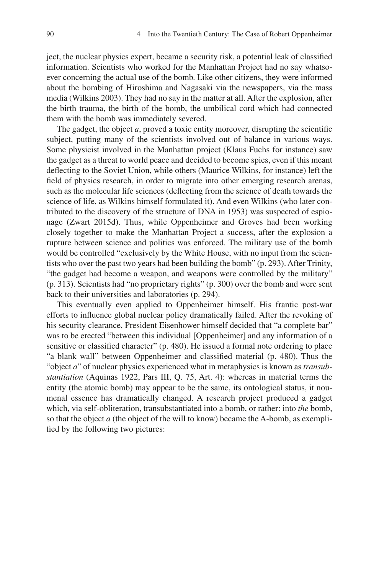ject, the nuclear physics expert, became a security risk, a potential leak of classified information. Scientists who worked for the Manhattan Project had no say whatsoever concerning the actual use of the bomb. Like other citizens, they were informed about the bombing of Hiroshima and Nagasaki via the newspapers, via the mass media (Wilkins 2003). They had no say in the matter at all. After the explosion, after the birth trauma, the birth of the bomb, the umbilical cord which had connected them with the bomb was immediately severed.

The gadget, the object *a*, proved a toxic entity moreover, disrupting the scientific subject, putting many of the scientists involved out of balance in various ways. Some physicist involved in the Manhattan project (Klaus Fuchs for instance) saw the gadget as a threat to world peace and decided to become spies, even if this meant deflecting to the Soviet Union, while others (Maurice Wilkins, for instance) left the field of physics research, in order to migrate into other emerging research arenas, such as the molecular life sciences (deflecting from the science of death towards the science of life, as Wilkins himself formulated it). And even Wilkins (who later contributed to the discovery of the structure of DNA in 1953) was suspected of espionage (Zwart 2015d). Thus, while Oppenheimer and Groves had been working closely together to make the Manhattan Project a success, after the explosion a rupture between science and politics was enforced. The military use of the bomb would be controlled "exclusively by the White House, with no input from the scientists who over the past two years had been building the bomb" (p. 293). After Trinity, "the gadget had become a weapon, and weapons were controlled by the military" (p. 313). Scientists had "no proprietary rights" (p. 300) over the bomb and were sent back to their universities and laboratories (p. 294).

This eventually even applied to Oppenheimer himself. His frantic post-war efforts to influence global nuclear policy dramatically failed. After the revoking of his security clearance, President Eisenhower himself decided that "a complete bar" was to be erected "between this individual [Oppenheimer] and any information of a sensitive or classified character" (p. 480). He issued a formal note ordering to place "a blank wall" between Oppenheimer and classified material (p. 480). Thus the "object *a*" of nuclear physics experienced what in metaphysics is known as *transubstantiation* (Aquinas 1922, Pars III, Q. 75, Art. 4): whereas in material terms the entity (the atomic bomb) may appear to be the same, its ontological status, it noumenal essence has dramatically changed. A research project produced a gadget which, via self-obliteration, transubstantiated into a bomb, or rather: into *the* bomb, so that the object *a* (the object of the will to know) became the A-bomb, as exemplified by the following two pictures: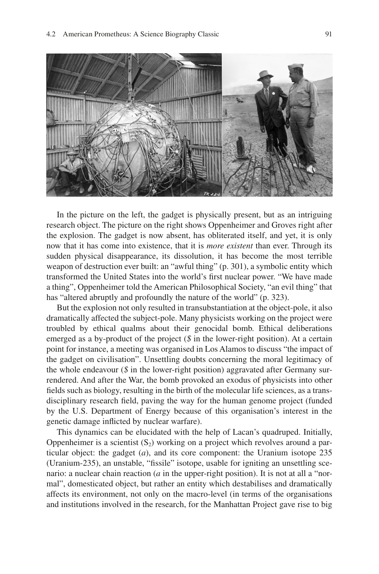

In the picture on the left, the gadget is physically present, but as an intriguing research object. The picture on the right shows Oppenheimer and Groves right after the explosion. The gadget is now absent, has obliterated itself, and yet, it is only now that it has come into existence, that it is *more existent* than ever. Through its sudden physical disappearance, its dissolution, it has become the most terrible weapon of destruction ever built: an "awful thing" (p. 301), a symbolic entity which transformed the United States into the world's first nuclear power. "We have made a thing", Oppenheimer told the American Philosophical Society, "an evil thing" that has "altered abruptly and profoundly the nature of the world" (p. 323).

But the explosion not only resulted in transubstantiation at the object-pole, it also dramatically affected the subject-pole. Many physicists working on the project were troubled by ethical qualms about their genocidal bomb. Ethical deliberations emerged as a by-product of the project (*\$* in the lower-right position). At a certain point for instance, a meeting was organised in Los Alamos to discuss "the impact of the gadget on civilisation". Unsettling doubts concerning the moral legitimacy of the whole endeavour (*\$* in the lower-right position) aggravated after Germany surrendered. And after the War, the bomb provoked an exodus of physicists into other fields such as biology, resulting in the birth of the molecular life sciences, as a transdisciplinary research field, paving the way for the human genome project (funded by the U.S. Department of Energy because of this organisation's interest in the genetic damage inflicted by nuclear warfare).

This dynamics can be elucidated with the help of Lacan's quadruped. Initially, Oppenheimer is a scientist  $(S_2)$  working on a project which revolves around a particular object: the gadget (*a*), and its core component: the Uranium isotope 235 (Uranium-235), an unstable, "fissile" isotope, usable for igniting an unsettling scenario: a nuclear chain reaction (*a* in the upper-right position). It is not at all a "normal", domesticated object, but rather an entity which destabilises and dramatically affects its environment, not only on the macro-level (in terms of the organisations and institutions involved in the research, for the Manhattan Project gave rise to big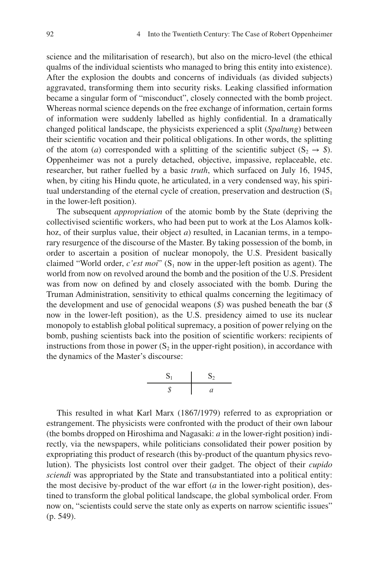science and the militarisation of research), but also on the micro-level (the ethical qualms of the individual scientists who managed to bring this entity into existence). After the explosion the doubts and concerns of individuals (as divided subjects) aggravated, transforming them into security risks. Leaking classified information became a singular form of "misconduct", closely connected with the bomb project. Whereas normal science depends on the free exchange of information, certain forms of information were suddenly labelled as highly confidential. In a dramatically changed political landscape, the physicists experienced a split (*Spaltung*) between their scientific vocation and their political obligations. In other words, the splitting of the atom (*a*) corresponded with a splitting of the scientific subject  $(S_2 \rightarrow S)$ . Oppenheimer was not a purely detached, objective, impassive, replaceable, etc. researcher, but rather fuelled by a basic *truth*, which surfaced on July 16, 1945, when, by citing his Hindu quote, he articulated, in a very condensed way, his spiritual understanding of the eternal cycle of creation, preservation and destruction  $(S_1)$ in the lower-left position).

The subsequent *appropriation* of the atomic bomb by the State (depriving the collectivised scientific workers, who had been put to work at the Los Alamos kolkhoz, of their surplus value, their object *a*) resulted, in Lacanian terms, in a temporary resurgence of the discourse of the Master. By taking possession of the bomb, in order to ascertain a position of nuclear monopoly, the U.S. President basically claimed "World order,  $c'est \, moi$ " ( $S_1$  now in the upper-left position as agent). The world from now on revolved around the bomb and the position of the U.S. President was from now on defined by and closely associated with the bomb. During the Truman Administration, sensitivity to ethical qualms concerning the legitimacy of the development and use of genocidal weapons (*\$*) was pushed beneath the bar (*\$* now in the lower-left position), as the U.S. presidency aimed to use its nuclear monopoly to establish global political supremacy, a position of power relying on the bomb, pushing scientists back into the position of scientific workers: recipients of instructions from those in power  $(S_2$  in the upper-right position), in accordance with the dynamics of the Master's discourse:

$$
\begin{array}{c|c}\nS_1 & S_2 \\
\hline\n\text{S} & a\n\end{array}
$$

This resulted in what Karl Marx (1867/1979) referred to as expropriation or estrangement. The physicists were confronted with the product of their own labour (the bombs dropped on Hiroshima and Nagasaki: *a* in the lower-right position) indirectly, via the newspapers, while politicians consolidated their power position by expropriating this product of research (this by-product of the quantum physics revolution). The physicists lost control over their gadget. The object of their *cupido sciendi* was appropriated by the State and transubstantiated into a political entity: the most decisive by-product of the war effort (*a* in the lower-right position), destined to transform the global political landscape, the global symbolical order. From now on, "scientists could serve the state only as experts on narrow scientific issues" (p. 549).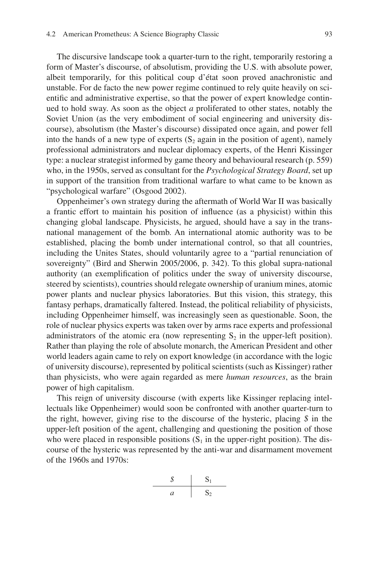The discursive landscape took a quarter-turn to the right, temporarily restoring a form of Master's discourse, of absolutism, providing the U.S. with absolute power, albeit temporarily, for this political coup d'état soon proved anachronistic and unstable. For de facto the new power regime continued to rely quite heavily on scientific and administrative expertise, so that the power of expert knowledge continued to hold sway. As soon as the object *a* proliferated to other states, notably the Soviet Union (as the very embodiment of social engineering and university discourse), absolutism (the Master's discourse) dissipated once again, and power fell into the hands of a new type of experts  $(S_2 \text{ again in the position of agent})$ , namely professional administrators and nuclear diplomacy experts, of the Henri Kissinger type: a nuclear strategist informed by game theory and behavioural research (p. 559) who, in the 1950s, served as consultant for the *Psychological Strategy Board*, set up in support of the transition from traditional warfare to what came to be known as "psychological warfare" (Osgood 2002).

Oppenheimer's own strategy during the aftermath of World War II was basically a frantic effort to maintain his position of influence (as a physicist) within this changing global landscape. Physicists, he argued, should have a say in the transnational management of the bomb. An international atomic authority was to be established, placing the bomb under international control, so that all countries, including the Unites States, should voluntarily agree to a "partial renunciation of sovereignty" (Bird and Sherwin 2005/2006, p. 342). To this global supra-national authority (an exemplification of politics under the sway of university discourse, steered by scientists), countries should relegate ownership of uranium mines, atomic power plants and nuclear physics laboratories. But this vision, this strategy, this fantasy perhaps, dramatically faltered. Instead, the political reliability of physicists, including Oppenheimer himself, was increasingly seen as questionable. Soon, the role of nuclear physics experts was taken over by arms race experts and professional administrators of the atomic era (now representing  $S_2$  in the upper-left position). Rather than playing the role of absolute monarch, the American President and other world leaders again came to rely on export knowledge (in accordance with the logic of university discourse), represented by political scientists (such as Kissinger) rather than physicists, who were again regarded as mere *human resources*, as the brain power of high capitalism.

This reign of university discourse (with experts like Kissinger replacing intellectuals like Oppenheimer) would soon be confronted with another quarter-turn to the right, however, giving rise to the discourse of the hysteric, placing *\$* in the upper-left position of the agent, challenging and questioning the position of those who were placed in responsible positions  $(S_1$  in the upper-right position). The discourse of the hysteric was represented by the anti-war and disarmament movement of the 1960s and 1970s:

$$
\begin{array}{c|c}\n\mathcal{S} & S_1 \\
\hline\na & S_2\n\end{array}
$$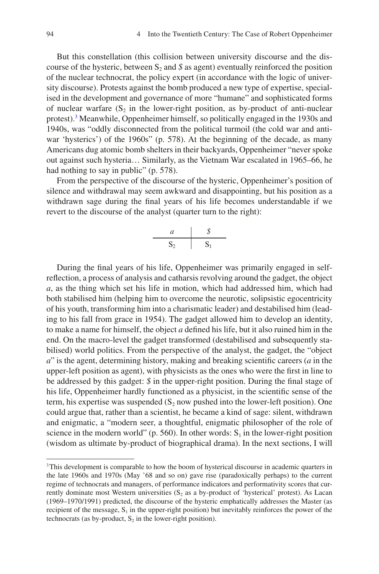But this constellation (this collision between university discourse and the discourse of the hysteric, between  $S_2$  and  $\hat{\beta}$  as agent) eventually reinforced the position of the nuclear technocrat, the policy expert (in accordance with the logic of university discourse). Protests against the bomb produced a new type of expertise, specialised in the development and governance of more "humane" and sophisticated forms of nuclear warfare  $(S_2$  in the lower-right position, as by-product of anti-nuclear protest).[3](#page-9-0) Meanwhile, Oppenheimer himself, so politically engaged in the 1930s and 1940s, was "oddly disconnected from the political turmoil (the cold war and antiwar 'hysterics') of the 1960s" (p. 578). At the beginning of the decade, as many Americans dug atomic bomb shelters in their backyards, Oppenheimer "never spoke out against such hysteria… Similarly, as the Vietnam War escalated in 1965–66, he had nothing to say in public" (p. 578).

From the perspective of the discourse of the hysteric, Oppenheimer's position of silence and withdrawal may seem awkward and disappointing, but his position as a withdrawn sage during the final years of his life becomes understandable if we revert to the discourse of the analyst (quarter turn to the right):



During the final years of his life, Oppenheimer was primarily engaged in selfreflection, a process of analysis and catharsis revolving around the gadget, the object *a*, as the thing which set his life in motion, which had addressed him, which had both stabilised him (helping him to overcome the neurotic, solipsistic egocentricity of his youth, transforming him into a charismatic leader) and destabilised him (leading to his fall from grace in 1954). The gadget allowed him to develop an identity, to make a name for himself, the object *a* defined his life, but it also ruined him in the end. On the macro-level the gadget transformed (destabilised and subsequently stabilised) world politics. From the perspective of the analyst, the gadget, the "object *a*" is the agent, determining history, making and breaking scientific careers (*a* in the upper-left position as agent), with physicists as the ones who were the first in line to be addressed by this gadget: *\$* in the upper-right position. During the final stage of his life, Oppenheimer hardly functioned as a physicist, in the scientific sense of the term, his expertise was suspended  $(S_2$  now pushed into the lower-left position). One could argue that, rather than a scientist, he became a kind of sage: silent, withdrawn and enigmatic, a "modern seer, a thoughtful, enigmatic philosopher of the role of science in the modern world" (p. 560). In other words:  $S_1$  in the lower-right position (wisdom as ultimate by-product of biographical drama). In the next sections, I will

<span id="page-9-0"></span><sup>&</sup>lt;sup>3</sup>This development is comparable to how the boom of hysterical discourse in academic quarters in the late 1960s and 1970s (May '68 and so on) gave rise (paradoxically perhaps) to the current regime of technocrats and managers, of performance indicators and performativity scores that currently dominate most Western universities  $(S_2$  as a by-product of 'hysterical' protest). As Lacan (1969–1970/1991) predicted, the discourse of the hysteric emphatically addresses the Master (as recipient of the message,  $S_1$  in the upper-right position) but inevitably reinforces the power of the technocrats (as by-product,  $S_2$  in the lower-right position).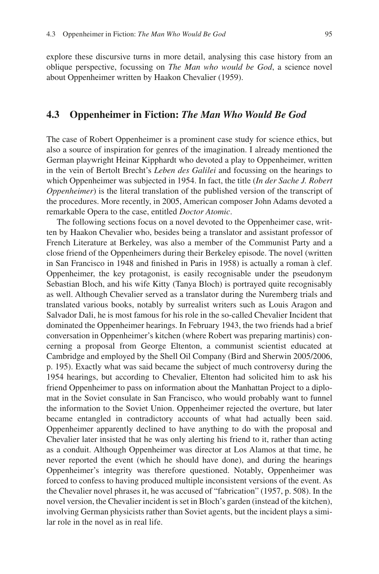explore these discursive turns in more detail, analysing this case history from an oblique perspective, focussing on *The Man who would be God*, a science novel about Oppenheimer written by Haakon Chevalier (1959).

#### **4.3 Oppenheimer in Fiction:** *The Man Who Would Be God*

The case of Robert Oppenheimer is a prominent case study for science ethics, but also a source of inspiration for genres of the imagination. I already mentioned the German playwright Heinar Kipphardt who devoted a play to Oppenheimer, written in the vein of Bertolt Brecht's *Leben des Galilei* and focussing on the hearings to which Oppenheimer was subjected in 1954. In fact, the title (*In der Sache J. Robert Oppenheimer*) is the literal translation of the published version of the transcript of the procedures. More recently, in 2005, American composer John Adams devoted a remarkable Opera to the case, entitled *Doctor Atomic*.

The following sections focus on a novel devoted to the Oppenheimer case, written by Haakon Chevalier who, besides being a translator and assistant professor of French Literature at Berkeley, was also a member of the Communist Party and a close friend of the Oppenheimers during their Berkeley episode. The novel (written in San Francisco in 1948 and finished in Paris in 1958) is actually a roman à clef. Oppenheimer, the key protagonist, is easily recognisable under the pseudonym Sebastian Bloch, and his wife Kitty (Tanya Bloch) is portrayed quite recognisably as well. Although Chevalier served as a translator during the Nuremberg trials and translated various books, notably by surrealist writers such as Louis Aragon and Salvador Dali, he is most famous for his role in the so-called Chevalier Incident that dominated the Oppenheimer hearings. In February 1943, the two friends had a brief conversation in Oppenheimer's kitchen (where Robert was preparing martinis) concerning a proposal from George Eltenton, a communist scientist educated at Cambridge and employed by the Shell Oil Company (Bird and Sherwin 2005/2006, p. 195). Exactly what was said became the subject of much controversy during the 1954 hearings, but according to Chevalier, Eltenton had solicited him to ask his friend Oppenheimer to pass on information about the Manhattan Project to a diplomat in the Soviet consulate in San Francisco, who would probably want to funnel the information to the Soviet Union. Oppenheimer rejected the overture, but later became entangled in contradictory accounts of what had actually been said. Oppenheimer apparently declined to have anything to do with the proposal and Chevalier later insisted that he was only alerting his friend to it, rather than acting as a conduit. Although Oppenheimer was director at Los Alamos at that time, he never reported the event (which he should have done), and during the hearings Oppenheimer's integrity was therefore questioned. Notably, Oppenheimer was forced to confess to having produced multiple inconsistent versions of the event. As the Chevalier novel phrases it, he was accused of "fabrication" (1957, p. 508). In the novel version, the Chevalier incident is set in Bloch's garden (instead of the kitchen), involving German physicists rather than Soviet agents, but the incident plays a similar role in the novel as in real life.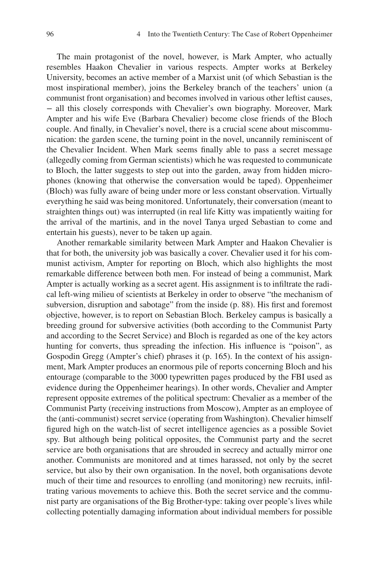The main protagonist of the novel, however, is Mark Ampter, who actually resembles Haakon Chevalier in various respects. Ampter works at Berkeley University, becomes an active member of a Marxist unit (of which Sebastian is the most inspirational member), joins the Berkeley branch of the teachers' union (a communist front organisation) and becomes involved in various other leftist causes, − all this closely corresponds with Chevalier's own biography. Moreover, Mark Ampter and his wife Eve (Barbara Chevalier) become close friends of the Bloch couple. And finally, in Chevalier's novel, there is a crucial scene about miscommunication: the garden scene, the turning point in the novel, uncannily reminiscent of the Chevalier Incident. When Mark seems finally able to pass a secret message (allegedly coming from German scientists) which he was requested to communicate to Bloch, the latter suggests to step out into the garden, away from hidden microphones (knowing that otherwise the conversation would be taped). Oppenheimer (Bloch) was fully aware of being under more or less constant observation. Virtually everything he said was being monitored. Unfortunately, their conversation (meant to straighten things out) was interrupted (in real life Kitty was impatiently waiting for the arrival of the martinis, and in the novel Tanya urged Sebastian to come and entertain his guests), never to be taken up again.

Another remarkable similarity between Mark Ampter and Haakon Chevalier is that for both, the university job was basically a cover. Chevalier used it for his communist activism, Ampter for reporting on Bloch, which also highlights the most remarkable difference between both men. For instead of being a communist, Mark Ampter is actually working as a secret agent. His assignment is to infiltrate the radical left-wing milieu of scientists at Berkeley in order to observe "the mechanism of subversion, disruption and sabotage" from the inside (p. 88). His first and foremost objective, however, is to report on Sebastian Bloch. Berkeley campus is basically a breeding ground for subversive activities (both according to the Communist Party and according to the Secret Service) and Bloch is regarded as one of the key actors hunting for converts, thus spreading the infection. His influence is "poison", as Gospodin Gregg (Ampter's chief) phrases it (p. 165). In the context of his assignment, Mark Ampter produces an enormous pile of reports concerning Bloch and his entourage (comparable to the 3000 typewritten pages produced by the FBI used as evidence during the Oppenheimer hearings). In other words, Chevalier and Ampter represent opposite extremes of the political spectrum: Chevalier as a member of the Communist Party (receiving instructions from Moscow), Ampter as an employee of the (anti-communist) secret service (operating from Washington). Chevalier himself figured high on the watch-list of secret intelligence agencies as a possible Soviet spy. But although being political opposites, the Communist party and the secret service are both organisations that are shrouded in secrecy and actually mirror one another. Communists are monitored and at times harassed, not only by the secret service, but also by their own organisation. In the novel, both organisations devote much of their time and resources to enrolling (and monitoring) new recruits, infiltrating various movements to achieve this. Both the secret service and the communist party are organisations of the Big Brother-type: taking over people's lives while collecting potentially damaging information about individual members for possible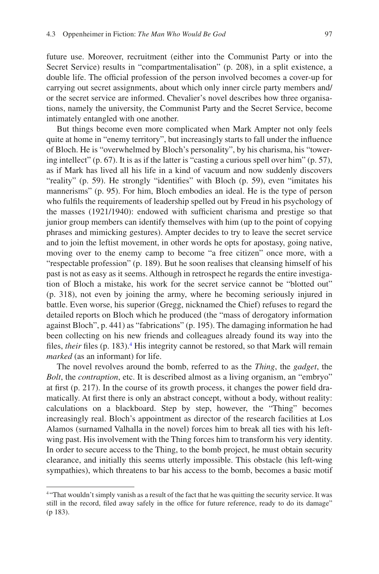future use. Moreover, recruitment (either into the Communist Party or into the Secret Service) results in "compartmentalisation" (p. 208), in a split existence, a double life. The official profession of the person involved becomes a cover-up for carrying out secret assignments, about which only inner circle party members and/ or the secret service are informed. Chevalier's novel describes how three organisations, namely the university, the Communist Party and the Secret Service, become intimately entangled with one another.

But things become even more complicated when Mark Ampter not only feels quite at home in "enemy territory", but increasingly starts to fall under the influence of Bloch. He is "overwhelmed by Bloch's personality", by his charisma, his "towering intellect" (p. 67). It is as if the latter is "casting a curious spell over him" (p. 57), as if Mark has lived all his life in a kind of vacuum and now suddenly discovers "reality" (p. 59). He strongly "identifies" with Bloch (p. 59), even "imitates his mannerisms" (p. 95). For him, Bloch embodies an ideal. He is the type of person who fulfils the requirements of leadership spelled out by Freud in his psychology of the masses (1921/1940): endowed with sufficient charisma and prestige so that junior group members can identify themselves with him (up to the point of copying phrases and mimicking gestures). Ampter decides to try to leave the secret service and to join the leftist movement, in other words he opts for apostasy, going native, moving over to the enemy camp to become "a free citizen" once more, with a "respectable profession" (p. 189). But he soon realises that cleansing himself of his past is not as easy as it seems. Although in retrospect he regards the entire investigation of Bloch a mistake, his work for the secret service cannot be "blotted out" (p. 318), not even by joining the army, where he becoming seriously injured in battle. Even worse, his superior (Gregg, nicknamed the Chief) refuses to regard the detailed reports on Bloch which he produced (the "mass of derogatory information against Bloch", p. 441) as "fabrications" (p. 195). The damaging information he had been collecting on his new friends and colleagues already found its way into the files, *their* files (p. 183).<sup>4</sup> His integrity cannot be restored, so that Mark will remain *marked* (as an informant) for life.

The novel revolves around the bomb, referred to as the *Thing*, the *gadget*, the *Bolt*, the *contraption*, etc. It is described almost as a living organism, an "embryo" at first (p. 217). In the course of its growth process, it changes the power field dramatically. At first there is only an abstract concept, without a body, without reality: calculations on a blackboard. Step by step, however, the "Thing" becomes increasingly real. Bloch's appointment as director of the research facilities at Los Alamos (surnamed Valhalla in the novel) forces him to break all ties with his leftwing past. His involvement with the Thing forces him to transform his very identity. In order to secure access to the Thing, to the bomb project, he must obtain security clearance, and initially this seems utterly impossible. This obstacle (his left-wing sympathies), which threatens to bar his access to the bomb, becomes a basic motif

<span id="page-12-0"></span><sup>4</sup> "That wouldn't simply vanish as a result of the fact that he was quitting the security service. It was still in the record, filed away safely in the office for future reference, ready to do its damage" (p 183).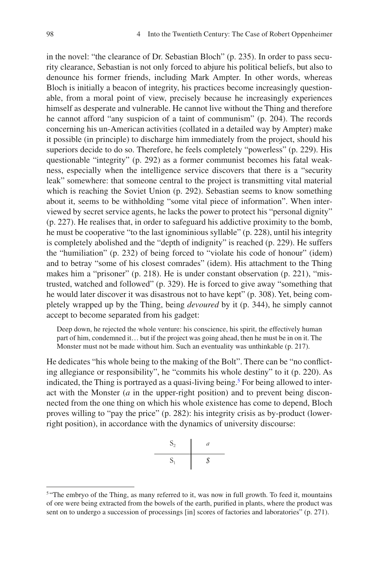in the novel: "the clearance of Dr. Sebastian Bloch" (p. 235). In order to pass security clearance, Sebastian is not only forced to abjure his political beliefs, but also to denounce his former friends, including Mark Ampter. In other words, whereas Bloch is initially a beacon of integrity, his practices become increasingly questionable, from a moral point of view, precisely because he increasingly experiences himself as desperate and vulnerable. He cannot live without the Thing and therefore he cannot afford "any suspicion of a taint of communism" (p. 204). The records concerning his un-American activities (collated in a detailed way by Ampter) make it possible (in principle) to discharge him immediately from the project, should his superiors decide to do so. Therefore, he feels completely "powerless" (p. 229). His questionable "integrity" (p. 292) as a former communist becomes his fatal weakness, especially when the intelligence service discovers that there is a "security leak" somewhere: that someone central to the project is transmitting vital material which is reaching the Soviet Union (p. 292). Sebastian seems to know something about it, seems to be withholding "some vital piece of information". When interviewed by secret service agents, he lacks the power to protect his "personal dignity" (p. 227). He realises that, in order to safeguard his addictive proximity to the bomb, he must be cooperative "to the last ignominious syllable" (p. 228), until his integrity is completely abolished and the "depth of indignity" is reached (p. 229). He suffers the "humiliation" (p. 232) of being forced to "violate his code of honour" (idem) and to betray "some of his closest comrades" (idem). His attachment to the Thing makes him a "prisoner" (p. 218). He is under constant observation (p. 221), "mistrusted, watched and followed" (p. 329). He is forced to give away "something that he would later discover it was disastrous not to have kept" (p. 308). Yet, being completely wrapped up by the Thing, being *devoured* by it (p. 344), he simply cannot accept to become separated from his gadget:

Deep down, he rejected the whole venture: his conscience, his spirit, the effectively human part of him, condemned it… but if the project was going ahead, then he must be in on it. The Monster must not be made without him. Such an eventuality was unthinkable (p. 217).

He dedicates "his whole being to the making of the Bolt". There can be "no conflicting allegiance or responsibility", he "commits his whole destiny" to it (p. 220). As indicated, the Thing is portrayed as a quasi-living being.<sup>[5](#page-13-0)</sup> For being allowed to interact with the Monster (*a* in the upper-right position) and to prevent being disconnected from the one thing on which his whole existence has come to depend, Bloch proves willing to "pay the price" (p. 282): his integrity crisis as by-product (lowerright position), in accordance with the dynamics of university discourse:

$$
\begin{array}{c|c}\nS_2 & a \\
\hline\nS_1 & \mathcal{S}\n\end{array}
$$

<span id="page-13-0"></span><sup>&</sup>lt;sup>5 "</sup>The embryo of the Thing, as many referred to it, was now in full growth. To feed it, mountains of ore were being extracted from the bowels of the earth, purified in plants, where the product was sent on to undergo a succession of processings [in] scores of factories and laboratories" (p. 271).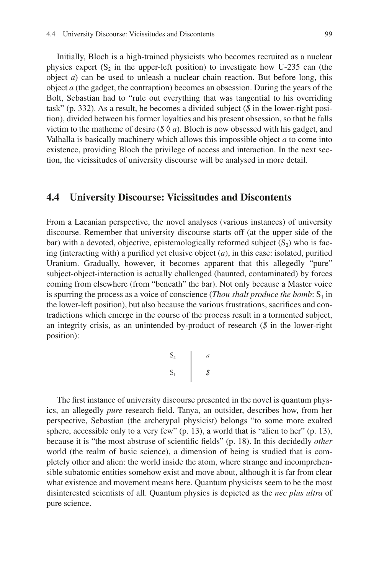Initially, Bloch is a high-trained physicists who becomes recruited as a nuclear physics expert  $(S_2$  in the upper-left position) to investigate how U-235 can (the object *a*) can be used to unleash a nuclear chain reaction. But before long, this object *a* (the gadget, the contraption) becomes an obsession. During the years of the Bolt, Sebastian had to "rule out everything that was tangential to his overriding task" (p. 332). As a result, he becomes a divided subject (*\$* in the lower-right position), divided between his former loyalties and his present obsession, so that he falls victim to the matheme of desire ( $\frac{6}{9}$  *a*). Bloch is now obsessed with his gadget, and Valhalla is basically machinery which allows this impossible object *a* to come into existence, providing Bloch the privilege of access and interaction. In the next section, the vicissitudes of university discourse will be analysed in more detail.

#### **4.4 University Discourse: Vicissitudes and Discontents**

From a Lacanian perspective, the novel analyses (various instances) of university discourse. Remember that university discourse starts off (at the upper side of the bar) with a devoted, objective, epistemologically reformed subject  $(S_2)$  who is facing (interacting with) a purified yet elusive object  $(a)$ , in this case: isolated, purified Uranium. Gradually, however, it becomes apparent that this allegedly "pure" subject-object-interaction is actually challenged (haunted, contaminated) by forces coming from elsewhere (from "beneath" the bar). Not only because a Master voice is spurring the process as a voice of conscience (*Thou shalt produce the bomb*:  $S_1$  in the lower-left position), but also because the various frustrations, sacrifices and contradictions which emerge in the course of the process result in a tormented subject, an integrity crisis, as an unintended by-product of research (*\$* in the lower-right position):

$$
\begin{array}{c|c}\nS_2 & a \\
\hline\nS_1 & \mathcal{S}\n\end{array}
$$

The first instance of university discourse presented in the novel is quantum physics, an allegedly *pure* research field. Tanya, an outsider, describes how, from her perspective, Sebastian (the archetypal physicist) belongs "to some more exalted sphere, accessible only to a very few" (p. 13), a world that is "alien to her" (p. 13), because it is "the most abstruse of scientific fields" (p. 18). In this decidedly *other* world (the realm of basic science), a dimension of being is studied that is completely other and alien: the world inside the atom, where strange and incomprehensible subatomic entities somehow exist and move about, although it is far from clear what existence and movement means here. Quantum physicists seem to be the most disinterested scientists of all. Quantum physics is depicted as the *nec plus ultra* of pure science.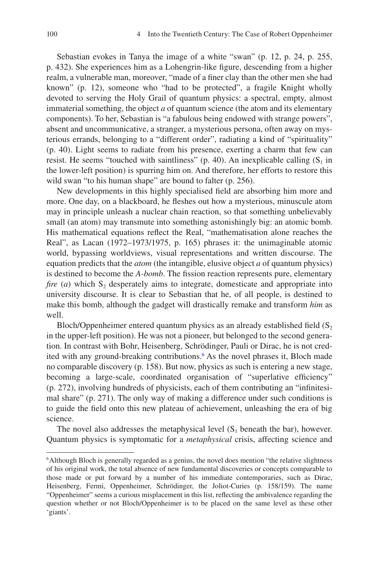Sebastian evokes in Tanya the image of a white "swan" (p. 12, p. 24, p. 255, p. 432). She experiences him as a Lohengrin-like figure, descending from a higher realm, a vulnerable man, moreover, "made of a finer clay than the other men she had known" (p. 12), someone who "had to be protected", a fragile Knight wholly devoted to serving the Holy Grail of quantum physics: a spectral, empty, almost immaterial something, the object *a* of quantum science (the atom and its elementary components). To her, Sebastian is "a fabulous being endowed with strange powers", absent and uncommunicative, a stranger, a mysterious persona, often away on mysterious errands, belonging to a "different order", radiating a kind of "spirituality" (p. 40). Light seems to radiate from his presence, exerting a charm that few can resist. He seems "touched with saintliness" (p. 40). An inexplicable calling  $(S_1$  in the lower-left position) is spurring him on. And therefore, her efforts to restore this wild swan "to his human shape" are bound to falter (p. 256).

New developments in this highly specialised field are absorbing him more and more. One day, on a blackboard, he fleshes out how a mysterious, minuscule atom may in principle unleash a nuclear chain reaction, so that something unbelievably small (an atom) may transmute into something astonishingly big: an atomic bomb. His mathematical equations reflect the Real, "mathematisation alone reaches the Real", as Lacan (1972–1973/1975, p. 165) phrases it: the unimaginable atomic world, bypassing worldviews, visual representations and written discourse. The equation predicts that the *atom* (the intangible, elusive object *a* of quantum physics) is destined to become the *A-bomb*. The fission reaction represents pure, elementary *fire* (*a*) which S<sub>2</sub> desperately aims to integrate, domesticate and appropriate into university discourse. It is clear to Sebastian that he, of all people, is destined to make this bomb, although the gadget will drastically remake and transform *him* as well.

Bloch/Oppenheimer entered quantum physics as an already established field  $(S<sub>2</sub>)$ in the upper-left position). He was not a pioneer, but belonged to the second generation. In contrast with Bohr, Heisenberg, Schrödinger, Pauli or Dirac, he is not credited with any ground-breaking contributions.<sup>6</sup> As the novel phrases it, Bloch made no comparable discovery (p. 158). But now, physics as such is entering a new stage, becoming a large-scale, coordinated organisation of "superlative efficiency" (p. 272), involving hundreds of physicists, each of them contributing an "infinitesimal share" (p. 271). The only way of making a difference under such conditions is to guide the field onto this new plateau of achievement, unleashing the era of big science.

The novel also addresses the metaphysical level  $(S_1$  beneath the bar), however. Quantum physics is symptomatic for a *metaphysical* crisis, affecting science and

<span id="page-15-0"></span><sup>6</sup>Although Bloch is generally regarded as a genius, the novel does mention "the relative slightness of his original work, the total absence of new fundamental discoveries or concepts comparable to those made or put forward by a number of his immediate contemporaries, such as Dirac, Heisenberg, Fermi, Oppenheimer, Schrödinger, the Joliot-Curies (p. 158/159). The name "Oppenheimer" seems a curious misplacement in this list, reflecting the ambivalence regarding the question whether or not Bloch/Oppenheimer is to be placed on the same level as these other 'giants'.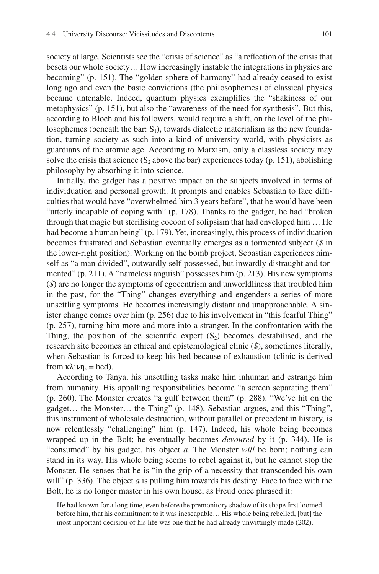society at large. Scientists see the "crisis of science" as "a reflection of the crisis that besets our whole society… How increasingly instable the integrations in physics are becoming" (p. 151). The "golden sphere of harmony" had already ceased to exist long ago and even the basic convictions (the philosophemes) of classical physics became untenable. Indeed, quantum physics exemplifies the "shakiness of our metaphysics" (p. 151), but also the "awareness of the need for synthesis". But this, according to Bloch and his followers, would require a shift, on the level of the philosophemes (beneath the bar:  $S_1$ ), towards dialectic materialism as the new foundation, turning society as such into a kind of university world, with physicists as guardians of the atomic age. According to Marxism, only a classless society may solve the crisis that science  $(S_2$  above the bar) experiences today (p. 151), abolishing philosophy by absorbing it into science.

Initially, the gadget has a positive impact on the subjects involved in terms of individuation and personal growth. It prompts and enables Sebastian to face difficulties that would have "overwhelmed him 3 years before", that he would have been "utterly incapable of coping with" (p. 178). Thanks to the gadget, he had "broken through that magic but sterilising cocoon of solipsism that had enveloped him … He had become a human being" (p. 179). Yet, increasingly, this process of individuation becomes frustrated and Sebastian eventually emerges as a tormented subject (*\$* in the lower-right position). Working on the bomb project, Sebastian experiences himself as "a man divided", outwardly self-possessed, but inwardly distraught and tormented" (p. 211). A "nameless anguish" possesses him (p. 213). His new symptoms (*\$*) are no longer the symptoms of egocentrism and unworldliness that troubled him in the past, for the "Thing" changes everything and engenders a series of more unsettling symptoms. He becomes increasingly distant and unapproachable. A sinister change comes over him (p. 256) due to his involvement in "this fearful Thing" (p. 257), turning him more and more into a stranger. In the confrontation with the Thing, the position of the scientific expert  $(S_2)$  becomes destabilised, and the research site becomes an ethical and epistemological clinic (*\$*), sometimes literally, when Sebastian is forced to keep his bed because of exhaustion (clinic is derived from κλίνη, = bed).

According to Tanya, his unsettling tasks make him inhuman and estrange him from humanity. His appalling responsibilities become "a screen separating them" (p. 260). The Monster creates "a gulf between them" (p. 288). "We've hit on the gadget… the Monster… the Thing" (p. 148), Sebastian argues, and this "Thing", this instrument of wholesale destruction, without parallel or precedent in history, is now relentlessly "challenging" him (p. 147). Indeed, his whole being becomes wrapped up in the Bolt; he eventually becomes *devoured* by it (p. 344). He is "consumed" by his gadget, his object *a*. The Monster *will* be born; nothing can stand in its way. His whole being seems to rebel against it, but he cannot stop the Monster. He senses that he is "in the grip of a necessity that transcended his own will" (p. 336). The object *a* is pulling him towards his destiny. Face to face with the Bolt, he is no longer master in his own house, as Freud once phrased it:

He had known for a long time, even before the premonitory shadow of its shape first loomed before him, that his commitment to it was inescapable… His whole being rebelled, [but] the most important decision of his life was one that he had already unwittingly made (202).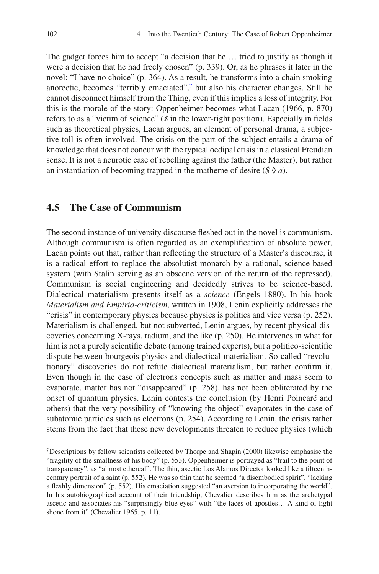The gadget forces him to accept "a decision that he … tried to justify as though it were a decision that he had freely chosen" (p. 339). Or, as he phrases it later in the novel: "I have no choice" (p. 364). As a result, he transforms into a chain smoking anorectic, becomes "terribly emaciated",[7](#page-17-0) but also his character changes. Still he cannot disconnect himself from the Thing, even if this implies a loss of integrity. For this is the morale of the story: Oppenheimer becomes what Lacan (1966, p. 870) refers to as a "victim of science" (*\$* in the lower-right position). Especially in fields such as theoretical physics, Lacan argues, an element of personal drama, a subjective toll is often involved. The crisis on the part of the subject entails a drama of knowledge that does not concur with the typical oedipal crisis in a classical Freudian sense. It is not a neurotic case of rebelling against the father (the Master), but rather an instantiation of becoming trapped in the matheme of desire  $(\oint \phi) a$ .

## **4.5 The Case of Communism**

The second instance of university discourse fleshed out in the novel is communism. Although communism is often regarded as an exemplification of absolute power, Lacan points out that, rather than reflecting the structure of a Master's discourse, it is a radical effort to replace the absolutist monarch by a rational, science-based system (with Stalin serving as an obscene version of the return of the repressed). Communism is social engineering and decidedly strives to be science-based. Dialectical materialism presents itself as a *science* (Engels 1880). In his book *Materialism and Empirio-criticism*, written in 1908, Lenin explicitly addresses the "crisis" in contemporary physics because physics is politics and vice versa (p. 252). Materialism is challenged, but not subverted, Lenin argues, by recent physical discoveries concerning X-rays, radium, and the like (p. 250). He intervenes in what for him is not a purely scientific debate (among trained experts), but a politico-scientific dispute between bourgeois physics and dialectical materialism. So-called "revolutionary" discoveries do not refute dialectical materialism, but rather confirm it. Even though in the case of electrons concepts such as matter and mass seem to evaporate, matter has not "disappeared" (p. 258), has not been obliterated by the onset of quantum physics. Lenin contests the conclusion (by Henri Poincaré and others) that the very possibility of "knowing the object" evaporates in the case of subatomic particles such as electrons (p. 254). According to Lenin, the crisis rather stems from the fact that these new developments threaten to reduce physics (which

<span id="page-17-0"></span><sup>7</sup>Descriptions by fellow scientists collected by Thorpe and Shapin (2000) likewise emphasise the "fragility of the smallness of his body" (p. 553). Oppenheimer is portrayed as "frail to the point of transparency", as "almost ethereal". The thin, ascetic Los Alamos Director looked like a fifteenthcentury portrait of a saint (p. 552). He was so thin that he seemed "a disembodied spirit", "lacking a fleshly dimension" (p. 552). His emaciation suggested "an aversion to incorporating the world". In his autobiographical account of their friendship, Chevalier describes him as the archetypal ascetic and associates his "surprisingly blue eyes" with "the faces of apostles… A kind of light shone from it" (Chevalier 1965, p. 11).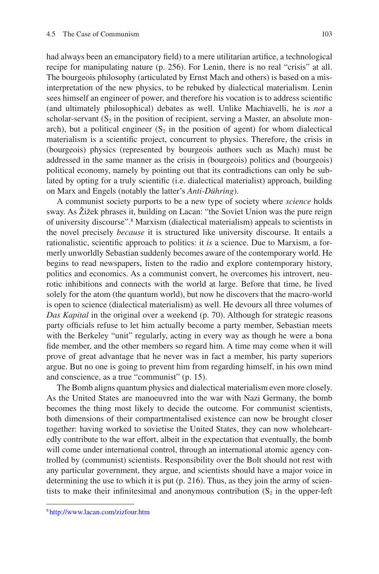had always been an emancipatory field) to a mere utilitarian artifice, a technological recipe for manipulating nature (p. 256). For Lenin, there is no real "crisis" at all. The bourgeois philosophy (articulated by Ernst Mach and others) is based on a misinterpretation of the new physics, to be rebuked by dialectical materialism. Lenin sees himself an engineer of power, and therefore his vocation is to address scientific (and ultimately philosophical) debates as well. Unlike Machiavelli, he is *not* a scholar-servant  $(S_2$  in the position of recipient, serving a Master, an absolute monarch), but a political engineer  $(S_2$  in the position of agent) for whom dialectical materialism is a scientific project, concurrent to physics. Therefore, the crisis in (bourgeois) physics (represented by bourgeois authors such as Mach) must be addressed in the same manner as the crisis in (bourgeois) politics and (bourgeois) political economy, namely by pointing out that its contradictions can only be sublated by opting for a truly scientific (i.e. dialectical materialist) approach, building on Marx and Engels (notably the latter's *Anti-Dühring*).

A communist society purports to be a new type of society where *science* holds sway. As Žižek phrases it, building on Lacan: "the Soviet Union was the pure reign of university discourse".<sup>[8](#page-18-0)</sup> Marxism (dialectical materialism) appeals to scientists in the novel precisely *because* it is structured like university discourse. It entails a rationalistic, scientific approach to politics: it *is* a science. Due to Marxism, a formerly unworldly Sebastian suddenly becomes aware of the contemporary world. He begins to read newspapers, listen to the radio and explore contemporary history, politics and economics. As a communist convert, he overcomes his introvert, neurotic inhibitions and connects with the world at large. Before that time, he lived solely for the atom (the quantum world), but now he discovers that the macro-world is open to science (dialectical materialism) as well. He devours all three volumes of *Das Kapital* in the original over a weekend (p. 70). Although for strategic reasons party officials refuse to let him actually become a party member, Sebastian meets with the Berkeley "unit" regularly, acting in every way as though he were a bona fide member, and the other members so regard him. A time may come when it will prove of great advantage that he never was in fact a member, his party superiors argue. But no one is going to prevent him from regarding himself, in his own mind and conscience, as a true "communist" (p. 15).

The Bomb aligns quantum physics and dialectical materialism even more closely. As the United States are manoeuvred into the war with Nazi Germany, the bomb becomes the thing most likely to decide the outcome. For communist scientists, both dimensions of their compartmentalised existence can now be brought closer together: having worked to sovietise the United States, they can now wholeheartedly contribute to the war effort, albeit in the expectation that eventually, the bomb will come under international control, through an international atomic agency controlled by (communist) scientists. Responsibility over the Bolt should not rest with any particular government, they argue, and scientists should have a major voice in determining the use to which it is put (p. 216). Thus, as they join the army of scientists to make their infinitesimal and anonymous contribution  $(S_2$  in the upper-left

<span id="page-18-0"></span><sup>8</sup> <http://www.lacan.com/zizfour.htm>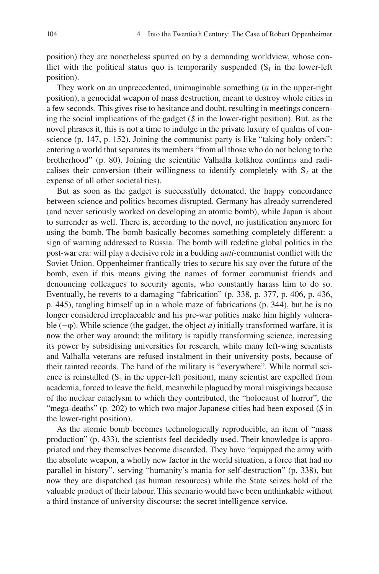position) they are nonetheless spurred on by a demanding worldview, whose conflict with the political status quo is temporarily suspended  $(S_1$  in the lower-left position).

They work on an unprecedented, unimaginable something (*a* in the upper-right position), a genocidal weapon of mass destruction, meant to destroy whole cities in a few seconds. This gives rise to hesitance and doubt, resulting in meetings concerning the social implications of the gadget (*\$* in the lower-right position). But, as the novel phrases it, this is not a time to indulge in the private luxury of qualms of conscience (p. 147, p. 152). Joining the communist party is like "taking holy orders": entering a world that separates its members "from all those who do not belong to the brotherhood" (p. 80). Joining the scientific Valhalla kolkhoz confirms and radicalises their conversion (their willingness to identify completely with  $S_2$  at the expense of all other societal ties).

But as soon as the gadget is successfully detonated, the happy concordance between science and politics becomes disrupted. Germany has already surrendered (and never seriously worked on developing an atomic bomb), while Japan is about to surrender as well. There is, according to the novel, no justification anymore for using the bomb. The bomb basically becomes something completely different: a sign of warning addressed to Russia. The bomb will redefine global politics in the post-war era: will play a decisive role in a budding *anti*-communist conflict with the Soviet Union. Oppenheimer frantically tries to secure his say over the future of the bomb, even if this means giving the names of former communist friends and denouncing colleagues to security agents, who constantly harass him to do so. Eventually, he reverts to a damaging "fabrication" (p. 338, p. 377, p. 406, p. 436, p. 445), tangling himself up in a whole maze of fabrications (p. 344), but he is no longer considered irreplaceable and his pre-war politics make him highly vulnerable  $(-\varphi)$ . While science (the gadget, the object *a*) initially transformed warfare, it is now the other way around: the military is rapidly transforming science, increasing its power by subsidising universities for research, while many left-wing scientists and Valhalla veterans are refused instalment in their university posts, because of their tainted records. The hand of the military is "everywhere". While normal science is reinstalled  $(S_2$  in the upper-left position), many scientist are expelled from academia, forced to leave the field, meanwhile plagued by moral misgivings because of the nuclear cataclysm to which they contributed, the "holocaust of horror", the "mega-deaths" (p. 202) to which two major Japanese cities had been exposed (*\$* in the lower-right position).

As the atomic bomb becomes technologically reproducible, an item of "mass production" (p. 433), the scientists feel decidedly used. Their knowledge is appropriated and they themselves become discarded. They have "equipped the army with the absolute weapon, a wholly new factor in the world situation, a force that had no parallel in history", serving "humanity's mania for self-destruction" (p. 338), but now they are dispatched (as human resources) while the State seizes hold of the valuable product of their labour. This scenario would have been unthinkable without a third instance of university discourse: the secret intelligence service.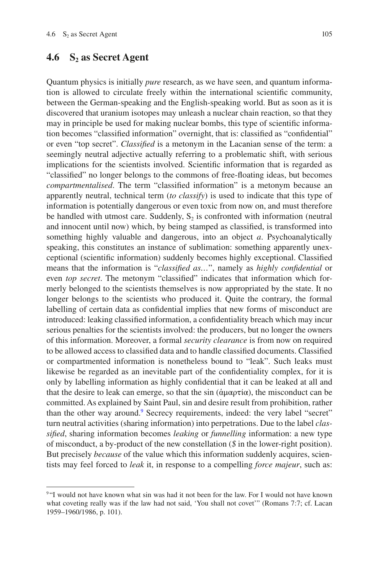# **4.6 S<sub>2</sub>** as Secret Agent

Quantum physics is initially *pure* research, as we have seen, and quantum information is allowed to circulate freely within the international scientific community, between the German-speaking and the English-speaking world. But as soon as it is discovered that uranium isotopes may unleash a nuclear chain reaction, so that they may in principle be used for making nuclear bombs, this type of scientific information becomes "classified information" overnight, that is: classified as "confidential" or even "top secret". *Classified* is a metonym in the Lacanian sense of the term: a seemingly neutral adjective actually referring to a problematic shift, with serious implications for the scientists involved. Scientific information that is regarded as "classified" no longer belongs to the commons of free-floating ideas, but becomes *compartmentalised*. The term "classified information" is a metonym because an apparently neutral, technical term (*to classify*) is used to indicate that this type of information is potentially dangerous or even toxic from now on, and must therefore be handled with utmost care. Suddenly,  $S_2$  is confronted with information (neutral and innocent until now) which, by being stamped as classified, is transformed into something highly valuable and dangerous, into an object *a*. Psychoanalytically speaking, this constitutes an instance of sublimation: something apparently unexceptional (scientific information) suddenly becomes highly exceptional. Classified means that the information is "*classified as…*", namely as *highly confidential* or even *top secret*. The metonym "classified" indicates that information which formerly belonged to the scientists themselves is now appropriated by the state. It no longer belongs to the scientists who produced it. Quite the contrary, the formal labelling of certain data as confidential implies that new forms of misconduct are introduced: leaking classified information, a confidentiality breach which may incur serious penalties for the scientists involved: the producers, but no longer the owners of this information. Moreover, a formal *security clearance* is from now on required to be allowed access to classified data and to handle classified documents. Classified or compartmented information is nonetheless bound to "leak". Such leaks must likewise be regarded as an inevitable part of the confidentiality complex, for it is only by labelling information as highly confidential that it can be leaked at all and that the desire to leak can emerge, so that the sin (άμαρτία), the misconduct can be committed. As explained by Saint Paul, sin and desire result from prohibition, rather than the other way around.<sup>9</sup> Secrecy requirements, indeed: the very label "secret" turn neutral activities (sharing information) into perpetrations. Due to the label *classified*, sharing information becomes *leaking* or *funnelling* information: a new type of misconduct, a by-product of the new constellation (*\$* in the lower-right position). But precisely *because* of the value which this information suddenly acquires, scientists may feel forced to *leak* it, in response to a compelling *force majeur*, such as:

<span id="page-20-0"></span><sup>&</sup>lt;sup>9</sup> "I would not have known what sin was had it not been for the law. For I would not have known what coveting really was if the law had not said, 'You shall not covet'" (Romans 7:7; cf. Lacan 1959–1960/1986, p. 101).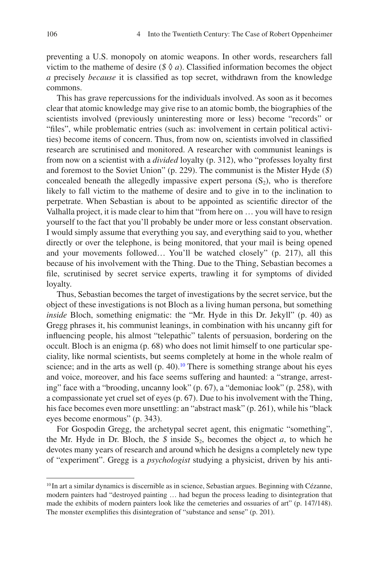preventing a U.S. monopoly on atomic weapons. In other words, researchers fall victim to the matheme of desire  $(\oint \phi a)$ . Classified information becomes the object *a* precisely *because* it is classified as top secret, withdrawn from the knowledge commons.

This has grave repercussions for the individuals involved. As soon as it becomes clear that atomic knowledge may give rise to an atomic bomb, the biographies of the scientists involved (previously uninteresting more or less) become "records" or "files", while problematic entries (such as: involvement in certain political activities) become items of concern. Thus, from now on, scientists involved in classified research are scrutinised and monitored. A researcher with communist leanings is from now on a scientist with a *divided* loyalty (p. 312), who "professes loyalty first and foremost to the Soviet Union" (p. 229). The communist is the Mister Hyde (*\$*) concealed beneath the allegedly impassive expert persona  $(S_2)$ , who is therefore likely to fall victim to the matheme of desire and to give in to the inclination to perpetrate. When Sebastian is about to be appointed as scientific director of the Valhalla project, it is made clear to him that "from here on … you will have to resign yourself to the fact that you'll probably be under more or less constant observation. I would simply assume that everything you say, and everything said to you, whether directly or over the telephone, is being monitored, that your mail is being opened and your movements followed… You'll be watched closely" (p. 217), all this because of his involvement with the Thing. Due to the Thing, Sebastian becomes a file, scrutinised by secret service experts, trawling it for symptoms of divided loyalty.

Thus, Sebastian becomes the target of investigations by the secret service, but the object of these investigations is not Bloch as a living human persona, but something *inside* Bloch, something enigmatic: the "Mr. Hyde in this Dr. Jekyll" (p. 40) as Gregg phrases it, his communist leanings, in combination with his uncanny gift for influencing people, his almost "telepathic" talents of persuasion, bordering on the occult. Bloch is an enigma (p. 68) who does not limit himself to one particular speciality, like normal scientists, but seems completely at home in the whole realm of science; and in the arts as well  $(p. 40)$ .<sup>10</sup> There is something strange about his eyes and voice, moreover, and his face seems suffering and haunted: a "strange, arresting" face with a "brooding, uncanny look" (p. 67), a "demoniac look" (p. 258), with a compassionate yet cruel set of eyes (p. 67). Due to his involvement with the Thing, his face becomes even more unsettling: an "abstract mask" (p. 261), while his "black eyes become enormous" (p. 343).

For Gospodin Gregg, the archetypal secret agent, this enigmatic "something", the Mr. Hyde in Dr. Bloch, the  $\oint$  inside  $S_2$ , becomes the object *a*, to which he devotes many years of research and around which he designs a completely new type of "experiment". Gregg is a *psychologist* studying a physicist, driven by his anti-

<span id="page-21-0"></span> $10$  In art a similar dynamics is discernible as in science, Sebastian argues. Beginning with Cézanne, modern painters had "destroyed painting … had begun the process leading to disintegration that made the exhibits of modern painters look like the cemeteries and ossuaries of art" (p. 147/148). The monster exemplifies this disintegration of "substance and sense" (p. 201).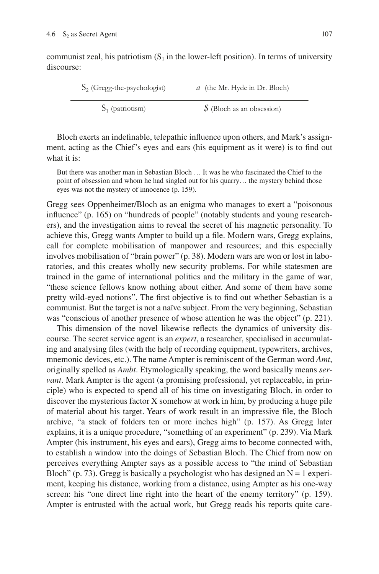communist zeal, his patriotism  $(S_1$  in the lower-left position). In terms of university discourse:



Bloch exerts an indefinable, telepathic influence upon others, and Mark's assignment, acting as the Chief's eyes and ears (his equipment as it were) is to find out what it is:

But there was another man in Sebastian Bloch … It was he who fascinated the Chief to the point of obsession and whom he had singled out for his quarry… the mystery behind those eyes was not the mystery of innocence (p. 159).

Gregg sees Oppenheimer/Bloch as an enigma who manages to exert a "poisonous influence" (p. 165) on "hundreds of people" (notably students and young researchers), and the investigation aims to reveal the secret of his magnetic personality. To achieve this, Gregg wants Ampter to build up a file. Modern wars, Gregg explains, call for complete mobilisation of manpower and resources; and this especially involves mobilisation of "brain power" (p. 38). Modern wars are won or lost in laboratories, and this creates wholly new security problems. For while statesmen are trained in the game of international politics and the military in the game of war, "these science fellows know nothing about either. And some of them have some pretty wild-eyed notions". The first objective is to find out whether Sebastian is a communist. But the target is not a naïve subject. From the very beginning, Sebastian was "conscious of another presence of whose attention he was the object" (p. 221).

This dimension of the novel likewise reflects the dynamics of university discourse. The secret service agent is an *expert*, a researcher, specialised in accumulating and analysing files (with the help of recording equipment, typewriters, archives, mnemonic devices, etc.). The name Ampter is reminiscent of the German word *Amt*, originally spelled as *Ambt*. Etymologically speaking, the word basically means *servant*. Mark Ampter is the agent (a promising professional, yet replaceable, in principle) who is expected to spend all of his time on investigating Bloch, in order to discover the mysterious factor X somehow at work in him, by producing a huge pile of material about his target. Years of work result in an impressive file, the Bloch archive, "a stack of folders ten or more inches high" (p. 157). As Gregg later explains, it is a unique procedure, "something of an experiment" (p. 239). Via Mark Ampter (his instrument, his eyes and ears), Gregg aims to become connected with, to establish a window into the doings of Sebastian Bloch. The Chief from now on perceives everything Ampter says as a possible access to "the mind of Sebastian Bloch" (p. 73). Gregg is basically a psychologist who has designed an  $N = 1$  experiment, keeping his distance, working from a distance, using Ampter as his one-way screen: his "one direct line right into the heart of the enemy territory" (p. 159). Ampter is entrusted with the actual work, but Gregg reads his reports quite care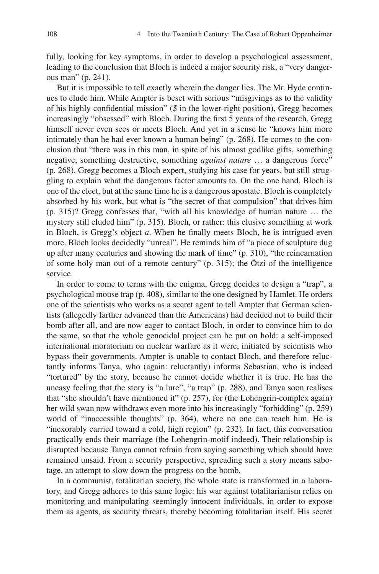fully, looking for key symptoms, in order to develop a psychological assessment, leading to the conclusion that Bloch is indeed a major security risk, a "very dangerous man" (p. 241).

But it is impossible to tell exactly wherein the danger lies. The Mr. Hyde continues to elude him. While Ampter is beset with serious "misgivings as to the validity of his highly confidential mission" (*\$* in the lower-right position), Gregg becomes increasingly "obsessed" with Bloch. During the first 5 years of the research, Gregg himself never even sees or meets Bloch. And yet in a sense he "knows him more intimately than he had ever known a human being" (p. 268). He comes to the conclusion that "there was in this man, in spite of his almost godlike gifts, something negative, something destructive, something *against nature* … a dangerous force" (p. 268). Gregg becomes a Bloch expert, studying his case for years, but still struggling to explain what the dangerous factor amounts to. On the one hand, Bloch is one of the elect, but at the same time he is a dangerous apostate. Bloch is completely absorbed by his work, but what is "the secret of that compulsion" that drives him (p. 315)? Gregg confesses that, "with all his knowledge of human nature … the mystery still eluded him" (p. 315). Bloch, or rather: this elusive something at work in Bloch, is Gregg's object *a*. When he finally meets Bloch, he is intrigued even more. Bloch looks decidedly "unreal". He reminds him of "a piece of sculpture dug up after many centuries and showing the mark of time" (p. 310), "the reincarnation of some holy man out of a remote century" (p. 315); the Ötzi of the intelligence service.

In order to come to terms with the enigma, Gregg decides to design a "trap", a psychological mouse trap (p. 408), similar to the one designed by Hamlet. He orders one of the scientists who works as a secret agent to tell Ampter that German scientists (allegedly farther advanced than the Americans) had decided not to build their bomb after all, and are now eager to contact Bloch, in order to convince him to do the same, so that the whole genocidal project can be put on hold: a self-imposed international moratorium on nuclear warfare as it were, initiated by scientists who bypass their governments. Ampter is unable to contact Bloch, and therefore reluctantly informs Tanya, who (again: reluctantly) informs Sebastian, who is indeed "tortured" by the story, because he cannot decide whether it is true. He has the uneasy feeling that the story is "a lure", "a trap" (p. 288), and Tanya soon realises that "she shouldn't have mentioned it" (p. 257), for (the Lohengrin-complex again) her wild swan now withdraws even more into his increasingly "forbidding" (p. 259) world of "inaccessible thoughts" (p. 364), where no one can reach him. He is "inexorably carried toward a cold, high region" (p. 232). In fact, this conversation practically ends their marriage (the Lohengrin-motif indeed). Their relationship is disrupted because Tanya cannot refrain from saying something which should have remained unsaid. From a security perspective, spreading such a story means sabotage, an attempt to slow down the progress on the bomb.

In a communist, totalitarian society, the whole state is transformed in a laboratory, and Gregg adheres to this same logic: his war against totalitarianism relies on monitoring and manipulating seemingly innocent individuals, in order to expose them as agents, as security threats, thereby becoming totalitarian itself. His secret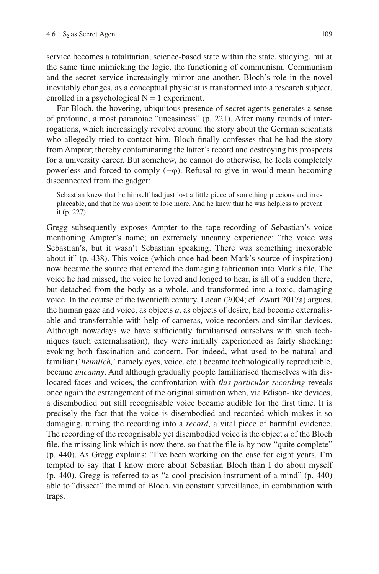service becomes a totalitarian, science-based state within the state, studying, but at the same time mimicking the logic, the functioning of communism. Communism and the secret service increasingly mirror one another. Bloch's role in the novel inevitably changes, as a conceptual physicist is transformed into a research subject, enrolled in a psychological  $N = 1$  experiment.

For Bloch, the hovering, ubiquitous presence of secret agents generates a sense of profound, almost paranoiac "uneasiness" (p. 221). After many rounds of interrogations, which increasingly revolve around the story about the German scientists who allegedly tried to contact him, Bloch finally confesses that he had the story from Ampter; thereby contaminating the latter's record and destroying his prospects for a university career. But somehow, he cannot do otherwise, he feels completely powerless and forced to comply  $(-\varphi)$ . Refusal to give in would mean becoming disconnected from the gadget:

Sebastian knew that he himself had just lost a little piece of something precious and irreplaceable, and that he was about to lose more. And he knew that he was helpless to prevent it (p. 227).

Gregg subsequently exposes Ampter to the tape-recording of Sebastian's voice mentioning Ampter's name; an extremely uncanny experience: "the voice was Sebastian's, but it wasn't Sebastian speaking. There was something inexorable about it" (p. 438). This voice (which once had been Mark's source of inspiration) now became the source that entered the damaging fabrication into Mark's file. The voice he had missed, the voice he loved and longed to hear, is all of a sudden there, but detached from the body as a whole, and transformed into a toxic, damaging voice. In the course of the twentieth century, Lacan (2004; cf. Zwart 2017a) argues, the human gaze and voice, as objects *a*, as objects of desire, had become externalisable and transferrable with help of cameras, voice recorders and similar devices. Although nowadays we have sufficiently familiarised ourselves with such techniques (such externalisation), they were initially experienced as fairly shocking: evoking both fascination and concern. For indeed, what used to be natural and familiar ('*heimlich,*' namely eyes, voice, etc.) became technologically reproducible, became *uncanny*. And although gradually people familiarised themselves with dislocated faces and voices, the confrontation with *this particular recording* reveals once again the estrangement of the original situation when, via Edison-like devices, a disembodied but still recognisable voice became audible for the first time. It is precisely the fact that the voice is disembodied and recorded which makes it so damaging, turning the recording into a *record*, a vital piece of harmful evidence. The recording of the recognisable yet disembodied voice is the object *a* of the Bloch file, the missing link which is now there, so that the file is by now "quite complete" (p. 440). As Gregg explains: "I've been working on the case for eight years. I'm tempted to say that I know more about Sebastian Bloch than I do about myself (p. 440). Gregg is referred to as "a cool precision instrument of a mind" (p. 440) able to "dissect" the mind of Bloch, via constant surveillance, in combination with traps.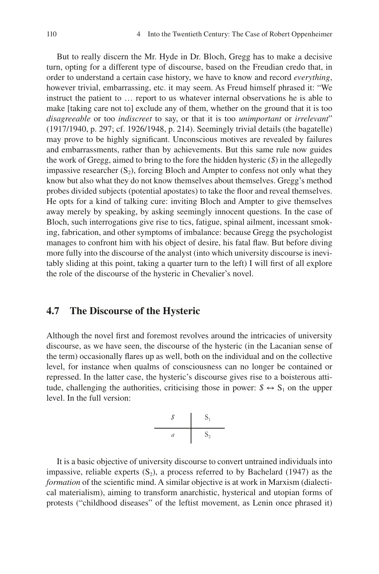But to really discern the Mr. Hyde in Dr. Bloch, Gregg has to make a decisive turn, opting for a different type of discourse, based on the Freudian credo that, in order to understand a certain case history, we have to know and record *everything*, however trivial, embarrassing, etc. it may seem. As Freud himself phrased it: "We instruct the patient to … report to us whatever internal observations he is able to make [taking care not to] exclude any of them, whether on the ground that it is too *disagreeable* or too *indiscreet* to say, or that it is too *unimportant* or *irrelevant*" (1917/1940, p. 297; cf. 1926/1948, p. 214). Seemingly trivial details (the bagatelle) may prove to be highly significant. Unconscious motives are revealed by failures and embarrassments, rather than by achievements. But this same rule now guides the work of Gregg, aimed to bring to the fore the hidden hysteric (*\$*) in the allegedly impassive researcher  $(S_2)$ , forcing Bloch and Ampter to confess not only what they know but also what they do not know themselves about themselves. Gregg's method probes divided subjects (potential apostates) to take the floor and reveal themselves. He opts for a kind of talking cure: inviting Bloch and Ampter to give themselves away merely by speaking, by asking seemingly innocent questions. In the case of Bloch, such interrogations give rise to tics, fatigue, spinal ailment, incessant smoking, fabrication, and other symptoms of imbalance: because Gregg the psychologist manages to confront him with his object of desire, his fatal flaw. But before diving more fully into the discourse of the analyst (into which university discourse is inevitably sliding at this point, taking a quarter turn to the left) I will first of all explore the role of the discourse of the hysteric in Chevalier's novel.

#### **4.7 The Discourse of the Hysteric**

Although the novel first and foremost revolves around the intricacies of university discourse, as we have seen, the discourse of the hysteric (in the Lacanian sense of the term) occasionally flares up as well, both on the individual and on the collective level, for instance when qualms of consciousness can no longer be contained or repressed. In the latter case, the hysteric's discourse gives rise to a boisterous attitude, challenging the authorities, criticising those in power:  $\hat{s} \leftrightarrow S_1$  on the upper level. In the full version:

$$
\begin{array}{c|c}\n\mathcal{S} & S_1 \\
\hline\na & S_2\n\end{array}
$$

It is a basic objective of university discourse to convert untrained individuals into impassive, reliable experts  $(S_2)$ , a process referred to by Bachelard (1947) as the *formation* of the scientific mind. A similar objective is at work in Marxism (dialectical materialism), aiming to transform anarchistic, hysterical and utopian forms of protests ("childhood diseases" of the leftist movement, as Lenin once phrased it)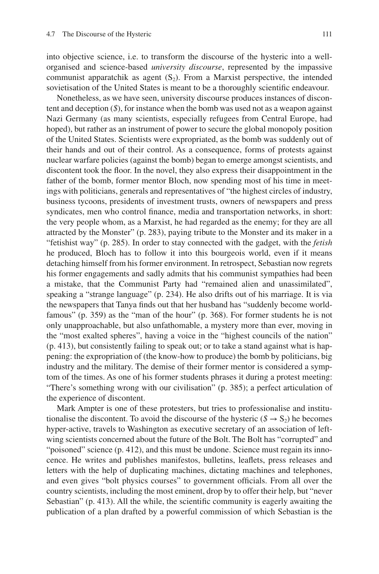into objective science, i.e. to transform the discourse of the hysteric into a wellorganised and science-based *university discourse*, represented by the impassive communist apparatchik as agent  $(S_2)$ . From a Marxist perspective, the intended sovietisation of the United States is meant to be a thoroughly scientific endeavour.

Nonetheless, as we have seen, university discourse produces instances of discontent and deception (*\$*), for instance when the bomb was used not as a weapon against Nazi Germany (as many scientists, especially refugees from Central Europe, had hoped), but rather as an instrument of power to secure the global monopoly position of the United States. Scientists were expropriated, as the bomb was suddenly out of their hands and out of their control. As a consequence, forms of protests against nuclear warfare policies (against the bomb) began to emerge amongst scientists, and discontent took the floor. In the novel, they also express their disappointment in the father of the bomb, former mentor Bloch, now spending most of his time in meetings with politicians, generals and representatives of "the highest circles of industry, business tycoons, presidents of investment trusts, owners of newspapers and press syndicates, men who control finance, media and transportation networks, in short: the very people whom, as a Marxist, he had regarded as the enemy; for they are all attracted by the Monster" (p. 283), paying tribute to the Monster and its maker in a "fetishist way" (p. 285). In order to stay connected with the gadget, with the *fetish* he produced, Bloch has to follow it into this bourgeois world, even if it means detaching himself from his former environment. In retrospect, Sebastian now regrets his former engagements and sadly admits that his communist sympathies had been a mistake, that the Communist Party had "remained alien and unassimilated", speaking a "strange language" (p. 234). He also drifts out of his marriage. It is via the newspapers that Tanya finds out that her husband has "suddenly become worldfamous" (p. 359) as the "man of the hour" (p. 368). For former students he is not only unapproachable, but also unfathomable, a mystery more than ever, moving in the "most exalted spheres", having a voice in the "highest councils of the nation" (p. 413), but consistently failing to speak out; or to take a stand against what is happening: the expropriation of (the know-how to produce) the bomb by politicians, big industry and the military. The demise of their former mentor is considered a symptom of the times. As one of his former students phrases it during a protest meeting: "There's something wrong with our civilisation" (p. 385); a perfect articulation of the experience of discontent.

Mark Ampter is one of these protesters, but tries to professionalise and institutionalise the discontent. To avoid the discourse of the hysteric ( $\mathcal{S} \rightarrow S_2$ ) he becomes hyper-active, travels to Washington as executive secretary of an association of leftwing scientists concerned about the future of the Bolt. The Bolt has "corrupted" and "poisoned" science (p. 412), and this must be undone. Science must regain its innocence. He writes and publishes manifestos, bulletins, leaflets, press releases and letters with the help of duplicating machines, dictating machines and telephones, and even gives "bolt physics courses" to government officials. From all over the country scientists, including the most eminent, drop by to offer their help, but "never Sebastian" (p. 413). All the while, the scientific community is eagerly awaiting the publication of a plan drafted by a powerful commission of which Sebastian is the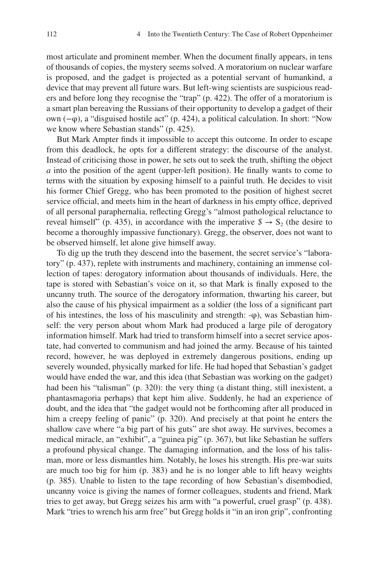most articulate and prominent member. When the document finally appears, in tens of thousands of copies, the mystery seems solved. A moratorium on nuclear warfare is proposed, and the gadget is projected as a potential servant of humankind, a device that may prevent all future wars. But left-wing scientists are suspicious readers and before long they recognise the "trap" (p. 422). The offer of a moratorium is a smart plan bereaving the Russians of their opportunity to develop a gadget of their own (−φ), a "disguised hostile act" (p. 424), a political calculation. In short: "Now we know where Sebastian stands" (p. 425).

But Mark Ampter finds it impossible to accept this outcome. In order to escape from this deadlock, he opts for a different strategy: the discourse of the analyst. Instead of criticising those in power, he sets out to seek the truth, shifting the object *a* into the position of the agent (upper-left position). He finally wants to come to terms with the situation by exposing himself to a painful truth. He decides to visit his former Chief Gregg, who has been promoted to the position of highest secret service official, and meets him in the heart of darkness in his empty office, deprived of all personal paraphernalia, reflecting Gregg's "almost pathological reluctance to reveal himself" (p. 435), in accordance with the imperative  $\hat{s} \rightarrow S_2$  (the desire to become a thoroughly impassive functionary). Gregg, the observer, does not want to be observed himself, let alone give himself away.

To dig up the truth they descend into the basement, the secret service's "laboratory" (p. 437), replete with instruments and machinery, containing an immense collection of tapes: derogatory information about thousands of individuals. Here, the tape is stored with Sebastian's voice on it, so that Mark is finally exposed to the uncanny truth. The source of the derogatory information, thwarting his career, but also the cause of his physical impairment as a soldier (the loss of a significant part of his intestines, the loss of his masculinity and strength: -φ), was Sebastian himself: the very person about whom Mark had produced a large pile of derogatory information himself. Mark had tried to transform himself into a secret service apostate, had converted to communism and had joined the army. Because of his tainted record, however, he was deployed in extremely dangerous positions, ending up severely wounded, physically marked for life. He had hoped that Sebastian's gadget would have ended the war, and this idea (that Sebastian was working on the gadget) had been his "talisman" (p. 320): the very thing (a distant thing, still inexistent, a phantasmagoria perhaps) that kept him alive. Suddenly, he had an experience of doubt, and the idea that "the gadget would not be forthcoming after all produced in him a creepy feeling of panic" (p. 320). And precisely at that point he enters the shallow cave where "a big part of his guts" are shot away. He survives, becomes a medical miracle, an "exhibit", a "guinea pig" (p. 367), but like Sebastian he suffers a profound physical change. The damaging information, and the loss of his talisman, more or less dismantles him. Notably, he loses his strength. His pre-war suits are much too big for him (p. 383) and he is no longer able to lift heavy weights (p. 385). Unable to listen to the tape recording of how Sebastian's disembodied, uncanny voice is giving the names of former colleagues, students and friend, Mark tries to get away, but Gregg seizes his arm with "a powerful, cruel grasp" (p. 438). Mark "tries to wrench his arm free" but Gregg holds it "in an iron grip", confronting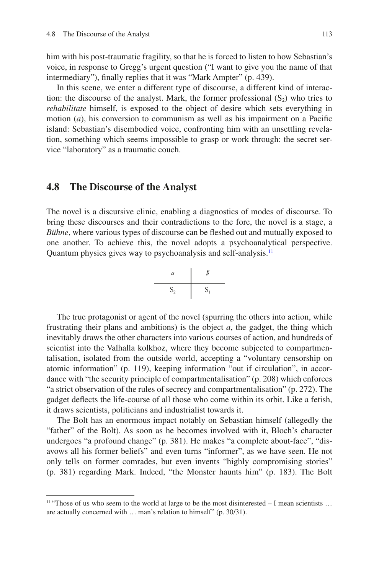him with his post-traumatic fragility, so that he is forced to listen to how Sebastian's voice, in response to Gregg's urgent question ("I want to give you the name of that intermediary"), finally replies that it was "Mark Ampter" (p. 439).

In this scene, we enter a different type of discourse, a different kind of interaction: the discourse of the analyst. Mark, the former professional  $(S_2)$  who tries to *rehabilitate* himself, is exposed to the object of desire which sets everything in motion (*a*), his conversion to communism as well as his impairment on a Pacific island: Sebastian's disembodied voice, confronting him with an unsettling revelation, something which seems impossible to grasp or work through: the secret service "laboratory" as a traumatic couch.

#### **4.8 The Discourse of the Analyst**

The novel is a discursive clinic, enabling a diagnostics of modes of discourse. To bring these discourses and their contradictions to the fore, the novel is a stage, a *Bühne*, where various types of discourse can be fleshed out and mutually exposed to one another. To achieve this, the novel adopts a psychoanalytical perspective. Quantum physics gives way to psychoanalysis and self-analysis[.11](#page-28-0)



The true protagonist or agent of the novel (spurring the others into action, while frustrating their plans and ambitions) is the object *a*, the gadget, the thing which inevitably draws the other characters into various courses of action, and hundreds of scientist into the Valhalla kolkhoz, where they become subjected to compartmentalisation, isolated from the outside world, accepting a "voluntary censorship on atomic information" (p. 119), keeping information "out if circulation", in accordance with "the security principle of compartmentalisation" (p. 208) which enforces "a strict observation of the rules of secrecy and compartmentalisation" (p. 272). The gadget deflects the life-course of all those who come within its orbit. Like a fetish, it draws scientists, politicians and industrialist towards it.

The Bolt has an enormous impact notably on Sebastian himself (allegedly the "father" of the Bolt). As soon as he becomes involved with it, Bloch's character undergoes "a profound change" (p. 381). He makes "a complete about-face", "disavows all his former beliefs" and even turns "informer", as we have seen. He not only tells on former comrades, but even invents "highly compromising stories" (p. 381) regarding Mark. Indeed, "the Monster haunts him" (p. 183). The Bolt

<span id="page-28-0"></span> $11$  "Those of us who seem to the world at large to be the most disinterested  $-1$  mean scientists ... are actually concerned with … man's relation to himself" (p. 30/31).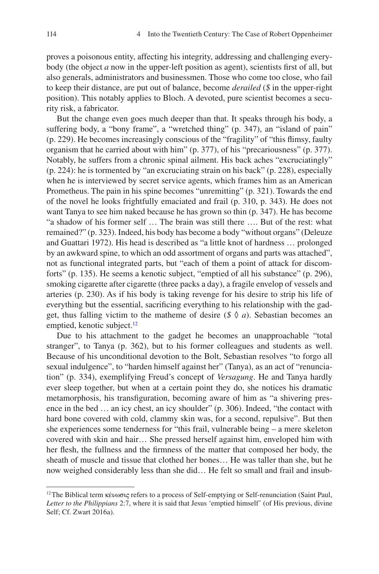proves a poisonous entity, affecting his integrity, addressing and challenging everybody (the object *a* now in the upper-left position as agent), scientists first of all, but also generals, administrators and businessmen. Those who come too close, who fail to keep their distance, are put out of balance, become *derailed* (*\$* in the upper-right position). This notably applies to Bloch. A devoted, pure scientist becomes a security risk, a fabricator.

But the change even goes much deeper than that. It speaks through his body, a suffering body, a "bony frame", a "wretched thing" (p. 347), an "island of pain" (p. 229). He becomes increasingly conscious of the "fragility" of "this flimsy, faulty organism that he carried about with him" (p. 377), of his "precariousness" (p. 377). Notably, he suffers from a chronic spinal ailment. His back aches "excruciatingly" (p. 224): he is tormented by "an excruciating strain on his back" (p. 228), especially when he is interviewed by secret service agents, which frames him as an American Prometheus. The pain in his spine becomes "unremitting" (p. 321). Towards the end of the novel he looks frightfully emaciated and frail (p. 310, p. 343). He does not want Tanya to see him naked because he has grown so thin (p. 347). He has become "a shadow of his former self … The brain was still there …. But of the rest: what remained?" (p. 323). Indeed, his body has become a body "without organs" (Deleuze and Guattari 1972). His head is described as "a little knot of hardness … prolonged by an awkward spine, to which an odd assortment of organs and parts was attached", not as functional integrated parts, but "each of them a point of attack for discomforts" (p. 135). He seems a kenotic subject, "emptied of all his substance" (p. 296), smoking cigarette after cigarette (three packs a day), a fragile envelop of vessels and arteries (p. 230). As if his body is taking revenge for his desire to strip his life of everything but the essential, sacrificing everything to his relationship with the gadget, thus falling victim to the matheme of desire  $(\oint \phi a)$ . Sebastian becomes an emptied, kenotic subject.<sup>[12](#page-29-0)</sup>

Due to his attachment to the gadget he becomes an unapproachable "total stranger", to Tanya (p. 362), but to his former colleagues and students as well. Because of his unconditional devotion to the Bolt, Sebastian resolves "to forgo all sexual indulgence", to "harden himself against her" (Tanya), as an act of "renunciation" (p. 334), exemplifying Freud's concept of *Versagung*. He and Tanya hardly ever sleep together, but when at a certain point they do, she notices his dramatic metamorphosis, his transfiguration, becoming aware of him as "a shivering presence in the bed … an icy chest, an icy shoulder" (p. 306). Indeed, "the contact with hard bone covered with cold, clammy skin was, for a second, repulsive". But then she experiences some tenderness for "this frail, vulnerable being – a mere skeleton covered with skin and hair… She pressed herself against him, enveloped him with her flesh, the fullness and the firmness of the matter that composed her body, the sheath of muscle and tissue that clothed her bones… He was taller than she, but he now weighed considerably less than she did… He felt so small and frail and insub-

<span id="page-29-0"></span><sup>12</sup>The Biblical term κένωσις refers to a process of Self-emptying or Self-renunciation (Saint Paul, *Letter to the Philippians* 2:7, where it is said that Jesus 'emptied himself' (of His previous, divine Self; Cf. Zwart 2016a).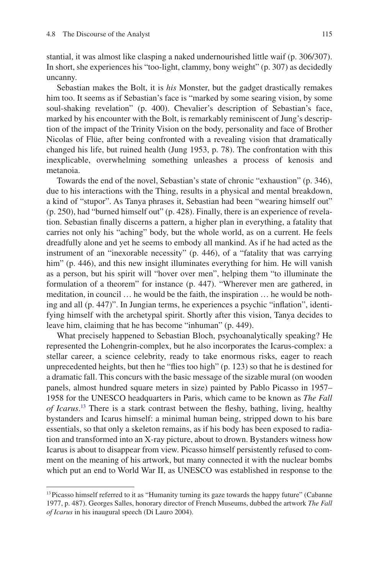stantial, it was almost like clasping a naked undernourished little waif (p. 306/307). In short, she experiences his "too-light, clammy, bony weight" (p. 307) as decidedly uncanny.

Sebastian makes the Bolt, it is *his* Monster, but the gadget drastically remakes him too. It seems as if Sebastian's face is "marked by some searing vision, by some soul-shaking revelation" (p. 400). Chevalier's description of Sebastian's face, marked by his encounter with the Bolt, is remarkably reminiscent of Jung's description of the impact of the Trinity Vision on the body, personality and face of Brother Nicolas of Flüe, after being confronted with a revealing vision that dramatically changed his life, but ruined health (Jung 1953, p. 78). The confrontation with this inexplicable, overwhelming something unleashes a process of kenosis and metanoia.

Towards the end of the novel, Sebastian's state of chronic "exhaustion" (p. 346), due to his interactions with the Thing, results in a physical and mental breakdown, a kind of "stupor". As Tanya phrases it, Sebastian had been "wearing himself out" (p. 250), had "burned himself out" (p. 428). Finally, there is an experience of revelation. Sebastian finally discerns a pattern, a higher plan in everything, a fatality that carries not only his "aching" body, but the whole world, as on a current. He feels dreadfully alone and yet he seems to embody all mankind. As if he had acted as the instrument of an "inexorable necessity" (p. 446), of a "fatality that was carrying him" (p. 446), and this new insight illuminates everything for him. He will vanish as a person, but his spirit will "hover over men", helping them "to illuminate the formulation of a theorem" for instance (p. 447). "Wherever men are gathered, in meditation, in council … he would be the faith, the inspiration … he would be nothing and all (p. 447)". In Jungian terms, he experiences a psychic "inflation", identifying himself with the archetypal spirit. Shortly after this vision, Tanya decides to leave him, claiming that he has become "inhuman" (p. 449).

What precisely happened to Sebastian Bloch, psychoanalytically speaking? He represented the Lohengrin-complex, but he also incorporates the Icarus-complex: a stellar career, a science celebrity, ready to take enormous risks, eager to reach unprecedented heights, but then he "flies too high" (p. 123) so that he is destined for a dramatic fall. This concurs with the basic message of the sizable mural (on wooden panels, almost hundred square meters in size) painted by Pablo Picasso in 1957– 1958 for the UNESCO headquarters in Paris, which came to be known as *The Fall of Icarus*. [13](#page-30-0) There is a stark contrast between the fleshy, bathing, living, healthy bystanders and Icarus himself: a minimal human being, stripped down to his bare essentials, so that only a skeleton remains, as if his body has been exposed to radiation and transformed into an X-ray picture, about to drown. Bystanders witness how Icarus is about to disappear from view. Picasso himself persistently refused to comment on the meaning of his artwork, but many connected it with the nuclear bombs which put an end to World War II, as UNESCO was established in response to the

<span id="page-30-0"></span><sup>&</sup>lt;sup>13</sup> Picasso himself referred to it as "Humanity turning its gaze towards the happy future" (Cabanne 1977, p. 487). Georges Salles, honorary director of French Museums, dubbed the artwork *The Fall of Icarus* in his inaugural speech (Di Lauro 2004).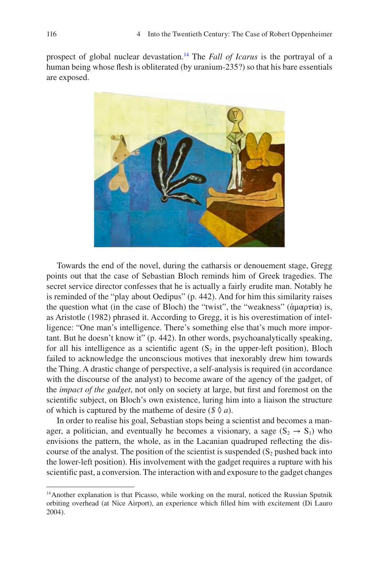prospect of global nuclear devastation[.14](#page-31-0) The *Fall of Icarus* is the portrayal of a human being whose flesh is obliterated (by uranium-235?) so that his bare essentials are exposed.



Towards the end of the novel, during the catharsis or denouement stage, Gregg points out that the case of Sebastian Bloch reminds him of Greek tragedies. The secret service director confesses that he is actually a fairly erudite man. Notably he is reminded of the "play about Oedipus" (p. 442). And for him this similarity raises the question what (in the case of Bloch) the "twist", the "weakness" (άμαρτία) is, as Aristotle (1982) phrased it. According to Gregg, it is his overestimation of intelligence: "One man's intelligence. There's something else that's much more important. But he doesn't know it" (p. 442). In other words, psychoanalytically speaking, for all his intelligence as a scientific agent  $(S_2$  in the upper-left position), Bloch failed to acknowledge the unconscious motives that inexorably drew him towards the Thing. A drastic change of perspective, a self-analysis is required (in accordance with the discourse of the analyst) to become aware of the agency of the gadget, of the *impact of the gadget*, not only on society at large, but first and foremost on the scientific subject, on Bloch's own existence, luring him into a liaison the structure of which is captured by the matheme of desire  $(\oint \phi) a$ .

In order to realise his goal, Sebastian stops being a scientist and becomes a manager, a politician, and eventually he becomes a visionary, a sage  $(S_2 \rightarrow S_1)$  who envisions the pattern, the whole, as in the Lacanian quadruped reflecting the discourse of the analyst. The position of the scientist is suspended  $(S_2$  pushed back into the lower-left position). His involvement with the gadget requires a rupture with his scientific past, a conversion. The interaction with and exposure to the gadget changes

<span id="page-31-0"></span><sup>&</sup>lt;sup>14</sup> Another explanation is that Picasso, while working on the mural, noticed the Russian Sputnik orbiting overhead (at Nice Airport), an experience which filled him with excitement (Di Lauro 2004).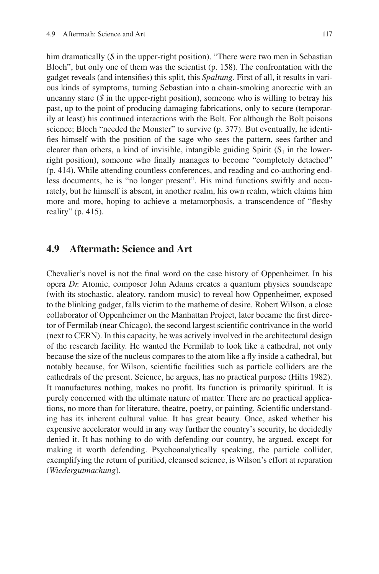him dramatically (*\$* in the upper-right position). "There were two men in Sebastian Bloch", but only one of them was the scientist (p. 158). The confrontation with the gadget reveals (and intensifies) this split, this *Spaltung*. First of all, it results in various kinds of symptoms, turning Sebastian into a chain-smoking anorectic with an uncanny stare (*\$* in the upper-right position), someone who is willing to betray his past, up to the point of producing damaging fabrications, only to secure (temporarily at least) his continued interactions with the Bolt. For although the Bolt poisons science; Bloch "needed the Monster" to survive (p. 377). But eventually, he identifies himself with the position of the sage who sees the pattern, sees farther and clearer than others, a kind of invisible, intangible guiding Spirit  $(S_1$  in the lowerright position), someone who finally manages to become "completely detached" (p. 414). While attending countless conferences, and reading and co-authoring endless documents, he is "no longer present". His mind functions swiftly and accurately, but he himself is absent, in another realm, his own realm, which claims him more and more, hoping to achieve a metamorphosis, a transcendence of "fleshy reality" (p. 415).

# **4.9 Aftermath: Science and Art**

Chevalier's novel is not the final word on the case history of Oppenheimer. In his opera *Dr.* Atomic, composer John Adams creates a quantum physics soundscape (with its stochastic, aleatory, random music) to reveal how Oppenheimer, exposed to the blinking gadget, falls victim to the matheme of desire. Robert Wilson, a close collaborator of Oppenheimer on the Manhattan Project, later became the first director of Fermilab (near Chicago), the second largest scientific contrivance in the world (next to CERN). In this capacity, he was actively involved in the architectural design of the research facility. He wanted the Fermilab to look like a cathedral, not only because the size of the nucleus compares to the atom like a fly inside a cathedral, but notably because, for Wilson, scientific facilities such as particle colliders are the cathedrals of the present. Science, he argues, has no practical purpose (Hilts 1982). It manufactures nothing, makes no profit. Its function is primarily spiritual. It is purely concerned with the ultimate nature of matter. There are no practical applications, no more than for literature, theatre, poetry, or painting. Scientific understanding has its inherent cultural value. It has great beauty. Once, asked whether his expensive accelerator would in any way further the country's security, he decidedly denied it. It has nothing to do with defending our country, he argued, except for making it worth defending. Psychoanalytically speaking, the particle collider, exemplifying the return of purified, cleansed science, is Wilson's effort at reparation (*Wiedergutmachung*).